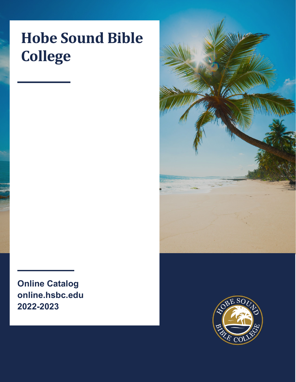# **Hobe Sound Bible College**

**Online Catalog online.hsbc.edu 2022-2023**



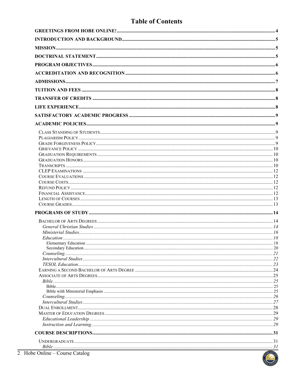# **Table of Contents**

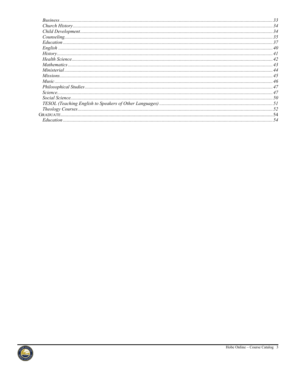| Church History. 34 |     |
|--------------------|-----|
|                    |     |
|                    |     |
|                    |     |
|                    |     |
|                    |     |
|                    |     |
|                    |     |
|                    |     |
| Missions45         |     |
|                    |     |
|                    |     |
|                    |     |
|                    |     |
|                    |     |
|                    |     |
|                    |     |
|                    | .54 |

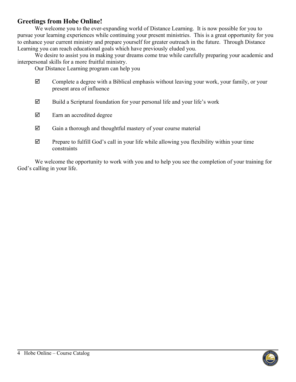# <span id="page-3-0"></span>**Greetings from Hobe Online!**

We welcome you to the ever-expanding world of Distance Learning. It is now possible for you to pursue your learning experiences while continuing your present ministries. This is a great opportunity for you to enhance your current ministry and prepare yourself for greater outreach in the future. Through Distance Learning you can reach educational goals which have previously eluded you.

We desire to assist you in making your dreams come true while carefully preparing your academic and interpersonal skills for a more fruitful ministry.

Our Distance Learning program can help you

- $\boxtimes$  Complete a degree with a Biblical emphasis without leaving your work, your family, or your present area of influence
- $\boxtimes$  Build a Scriptural foundation for your personal life and your life's work
- $\boxtimes$  Earn an accredited degree
- $\boxtimes$  Gain a thorough and thoughtful mastery of your course material
- $\boxtimes$  Prepare to fulfill God's call in your life while allowing you flexibility within your time constraints

We welcome the opportunity to work with you and to help you see the completion of your training for God's calling in your life.

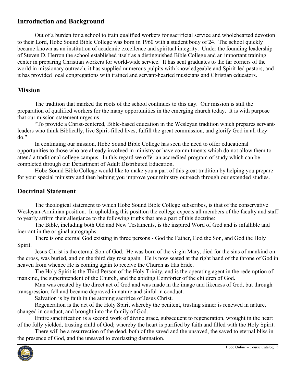# <span id="page-4-0"></span>**Introduction and Background**

Out of a burden for a school to train qualified workers for sacrificial service and wholehearted devotion to their Lord, Hobe Sound Bible College was born in 1960 with a student body of 24. The school quickly became known as an institution of academic excellence and spiritual integrity. Under the founding leadership of Steven D. Herron the school established itself as a distinguished Bible College and an important training center in preparing Christian workers for world-wide service. It has sent graduates to the far corners of the world in missionary outreach, it has supplied numerous pulpits with knowledgeable and Spirit-led pastors, and it has provided local congregations with trained and servant-hearted musicians and Christian educators.

### <span id="page-4-1"></span>**Mission**

The tradition that marked the roots of the school continues to this day. Our mission is still the preparation of qualified workers for the many opportunities in the emerging church today. It is with purpose that our mission statement urges us

"To provide a Christ-centered, Bible-based education in the Wesleyan tradition which prepares servantleaders who think Biblically, live Spirit-filled lives, fulfill the great commission, and glorify God in all they do."

In continuing our mission, Hobe Sound Bible College has seen the need to offer educational opportunities to those who are already involved in ministry or have commitments which do not allow them to attend a traditional college campus. In this regard we offer an accredited program of study which can be completed through our Department of Adult Distributed Education.

Hobe Sound Bible College would like to make you a part of this great tradition by helping you prepare for your special ministry and then helping you improve your ministry outreach through our extended studies.

### <span id="page-4-2"></span>**Doctrinal Statement**

The theological statement to which Hobe Sound Bible College subscribes, is that of the conservative Wesleyan-Arminian position. In upholding this position the college expects all members of the faculty and staff to yearly affirm their allegiance to the following truths that are a part of this doctrine:

The Bible, including both Old and New Testaments, is the inspired Word of God and is infallible and inerrant in the original autographs.

There is one eternal God existing in three persons - God the Father, God the Son, and God the Holy Spirit.

Jesus Christ is the eternal Son of God. He was born of the virgin Mary, died for the sins of mankind on the cross, was buried, and on the third day rose again. He is now seated at the right hand of the throne of God in heaven from whence He is coming again to receive the Church as His bride.

The Holy Spirit is the Third Person of the Holy Trinity, and is the operating agent in the redemption of mankind, the superintendent of the Church, and the abiding Comforter of the children of God.

Man was created by the direct act of God and was made in the image and likeness of God, but through transgression, fell and became depraved in nature and sinful in conduct.

Salvation is by faith in the atoning sacrifice of Jesus Christ.

Regeneration is the act of the Holy Spirit whereby the penitent, trusting sinner is renewed in nature, changed in conduct, and brought into the family of God.

Entire sanctification is a second work of divine grace, subsequent to regeneration, wrought in the heart of the fully yielded, trusting child of God; whereby the heart is purified by faith and filled with the Holy Spirit.

There will be a resurrection of the dead, both of the saved and the unsaved, the saved to eternal bliss in the presence of God, and the unsaved to everlasting damnation.

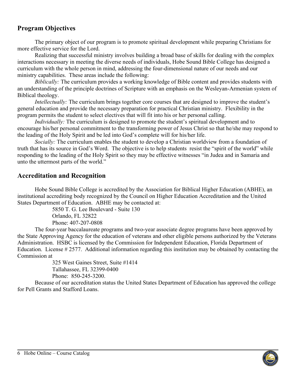# <span id="page-5-0"></span>**Program Objectives**

The primary object of our program is to promote spiritual development while preparing Christians for more effective service for the Lord.

Realizing that successful ministry involves building a broad base of skills for dealing with the complex interactions necessary in meeting the diverse needs of individuals, Hobe Sound Bible College has designed a curriculum with the whole person in mind, addressing the four-dimensional nature of our needs and our ministry capabilities. These areas include the following:

*Biblically:* The curriculum provides a working knowledge of Bible content and provides students with an understanding of the principle doctrines of Scripture with an emphasis on the Wesleyan-Armenian system of Biblical theology.

*Intellectually:* The curriculum brings together core courses that are designed to improve the student's general education and provide the necessary preparation for practical Christian ministry. Flexibility in the program permits the student to select electives that will fit into his or her personal calling.

*Individually:* The curriculum is designed to promote the student's spiritual development and to encourage his/her personal commitment to the transforming power of Jesus Christ so that he/she may respond to the leading of the Holy Spirit and be led into God's complete will for his/her life.

*Socially:* The curriculum enables the student to develop a Christian worldview from a foundation of truth that has its source in God's Word. The objective is to help students resist the "spirit of the world" while responding to the leading of the Holy Spirit so they may be effective witnesses "in Judea and in Samaria and unto the uttermost parts of the world."

### <span id="page-5-1"></span>**Accreditation and Recognition**

Hobe Sound Bible College is accredited by the Association for Biblical Higher Education (ABHE), an institutional accrediting body recognized by the Council on Higher Education Accreditation and the United States Department of Education. ABHE may be contacted at:

5850 T. G. Lee Boulevard - Suite 130 Orlando, FL 32822 Phone: 407-207-0808

The four-year baccalaureate programs and two-year associate degree programs have been approved by the State Approving Agency for the education of veterans and other eligible persons authorized by the Veterans Administration. HSBC is licensed by the Commission for Independent Education, Florida Department of Education. License # 2577. Additional information regarding this institution may be obtained by contacting the Commission at

325 West Gaines Street, Suite #1414 Tallahassee, FL 32399-0400 Phone: 850-245-3200.

Because of our accreditation status the United States Department of Education has approved the college for Pell Grants and Stafford Loans.

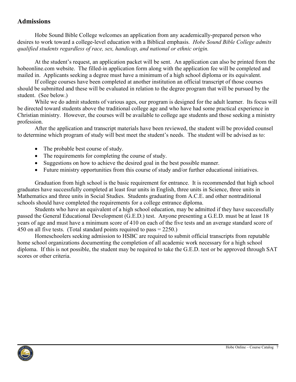### <span id="page-6-0"></span>**Admissions**

Hobe Sound Bible College welcomes an application from any academically-prepared person who desires to work toward a college-level education with a Biblical emphasis. *Hobe Sound Bible College admits qualified students regardless of race, sex, handicap, and national or ethnic origin.* 

At the student's request, an application packet will be sent. An application can also be printed from the hobeonline.com website. The filled-in application form along with the application fee will be completed and mailed in. Applicants seeking a degree must have a minimum of a high school diploma or its equivalent.

If college courses have been completed at another institution an official transcript of those courses should be submitted and these will be evaluated in relation to the degree program that will be pursued by the student. (See below.)

While we do admit students of various ages, our program is designed for the adult learner. Its focus will be directed toward students above the traditional college age and who have had some practical experience in Christian ministry. However, the courses will be available to college age students and those seeking a ministry profession.

After the application and transcript materials have been reviewed, the student will be provided counsel to determine which program of study will best meet the student's needs. The student will be advised as to:

- The probable best course of study.
- The requirements for completing the course of study.
- Suggestions on how to achieve the desired goal in the best possible manner.
- Future ministry opportunities from this course of study and/or further educational initiatives.

Graduation from high school is the basic requirement for entrance. It is recommended that high school graduates have successfully completed at least four units in English, three units in Science, three units in Mathematics and three units in Social Studies. Students graduating from A.C.E. and other nontraditional schools should have completed the requirements for a college entrance diploma.

Students who have an equivalent of a high school education, may be admitted if they have successfully passed the General Educational Development (G.E.D.) test. Anyone presenting a G.E.D. must be at least 18 years of age and must have a minimum score of 410 on each of the five tests and an average standard score of 450 on all five tests. (Total standard points required to pass = 2250.)

Homeschoolers seeking admission to HSBC are required to submit official transcripts from reputable home school organizations documenting the completion of all academic work necessary for a high school diploma. If this is not possible, the student may be required to take the G.E.D. test or be approved through SAT scores or other criteria.

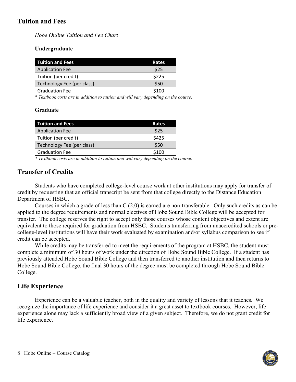# <span id="page-7-0"></span>**Tuition and Fees**

*Hobe Online Tuition and Fee Chart*

### **Undergraduate**

| <b>Tuition and Fees</b>    | Rates |
|----------------------------|-------|
| <b>Application Fee</b>     | \$25  |
| Tuition (per credit)       | \$225 |
| Technology Fee (per class) | \$50  |
| <b>Graduation Fee</b>      | \$100 |

*\* Textbook costs are in addition to tuition and will vary depending on the course.*

### **Graduate**

| <b>Tuition and Fees</b>    | Rates                      |
|----------------------------|----------------------------|
| <b>Application Fee</b>     | \$25                       |
| Tuition (per credit)       | \$425                      |
| Technology Fee (per class) | \$50                       |
| <b>Graduation Fee</b>      | \$100                      |
| $\sim$ $\sim$ $\sim$       | $\sim$<br>$\sim$<br>$\sim$ |

*\* Textbook costs are in addition to tuition and will vary depending on the course.*

# <span id="page-7-1"></span>**Transfer of Credits**

Students who have completed college-level course work at other institutions may apply for transfer of credit by requesting that an official transcript be sent from that college directly to the Distance Education Department of HSBC.

Courses in which a grade of less than C (2.0) is earned are non-transferable. Only such credits as can be applied to the degree requirements and normal electives of Hobe Sound Bible College will be accepted for transfer. The college reserves the right to accept only those courses whose content objectives and extent are equivalent to those required for graduation from HSBC. Students transferring from unaccredited schools or precollege-level institutions will have their work evaluated by examination and/or syllabus comparison to see if credit can be accepted.

While credits may be transferred to meet the requirements of the program at HSBC, the student must complete a minimum of 30 hours of work under the direction of Hobe Sound Bible College. If a student has previously attended Hobe Sound Bible College and then transferred to another institution and then returns to Hobe Sound Bible College, the final 30 hours of the degree must be completed through Hobe Sound Bible College.

# <span id="page-7-2"></span>**Life Experience**

Experience can be a valuable teacher, both in the quality and variety of lessons that it teaches. We recognize the importance of life experience and consider it a great asset to textbook courses. However, life experience alone may lack a sufficiently broad view of a given subject. Therefore, we do not grant credit for life experience.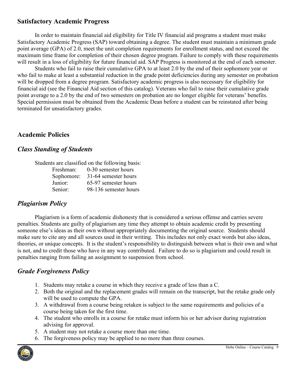# <span id="page-8-0"></span>**Satisfactory Academic Progress**

In order to maintain financial aid eligibility for Title IV financial aid programs a student must make Satisfactory Academic Progress (SAP) toward obtaining a degree. The student must maintain a minimum grade point average (GPA) of 2.0, meet the unit completion requirements for enrollment status, and not exceed the maximum time frame for completion of their chosen degree program. Failure to comply with these requirements will result in a loss of eligibility for future financial aid. SAP Progress is monitored at the end of each semester.

Students who fail to raise their cumulative GPA to at least 2.0 by the end of their sophomore year or who fail to make at least a substantial reduction in the grade point deficiencies during any semester on probation will be dropped from a degree program. Satisfactory academic progress is also necessary for eligibility for financial aid (see the Financial Aid section of this catalog). Veterans who fail to raise their cumulative grade point average to a 2.0 by the end of two semesters on probation are no longer eligible for veterans' benefits. Special permission must be obtained from the Academic Dean before a student can be reinstated after being terminated for unsatisfactory grades.

### <span id="page-8-1"></span>**Academic Policies**

### <span id="page-8-2"></span>*Class Standing of Students*

|            | Students are classified on the following basis: |
|------------|-------------------------------------------------|
| Freshman:  | 0-30 semester hours                             |
| Sophomore: | 31-64 semester hours                            |
| Junior:    | 65-97 semester hours                            |
| Senior:    | 98-136 semester hours                           |

### <span id="page-8-3"></span>*Plagiarism Policy*

Plagiarism is a form of academic dishonesty that is considered a serious offense and carries severe penalties. Students are guilty of plagiarism any time they attempt to obtain academic credit by presenting someone else's ideas as their own without appropriately documenting the original source. Students should make sure to cite any and all sources used in their writing. This includes not only exact words but also ideas, theories, or unique concepts. It is the student's responsibility to distinguish between what is their own and what is not, and to credit those who have in any way contributed. Failure to do so is plagiarism and could result in penalties ranging from failing an assignment to suspension from school.

# <span id="page-8-4"></span>*Grade Forgiveness Policy*

- 1. Students may retake a course in which they receive a grade of less than a C.
- 2. Both the original and the replacement grades will remain on the transcript, but the retake grade only will be used to compute the GPA.
- 3. A withdrawal from a course being retaken is subject to the same requirements and policies of a course being taken for the first time.
- 4. The student who enrolls in a course for retake must inform his or her advisor during registration advising for approval.
- 5. A student may not retake a course more than one time.
- 6. The forgiveness policy may be applied to no more than three courses.

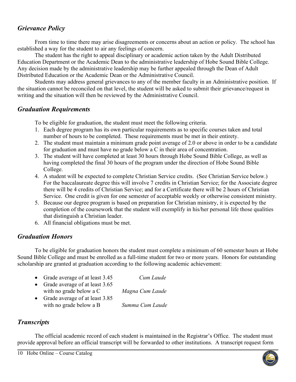# <span id="page-9-0"></span>*Grievance Policy*

From time to time there may arise disagreements or concerns about an action or policy. The school has established a way for the student to air any feelings of concern.

The student has the right to appeal disciplinary or academic action taken by the Adult Distributed Education Department or the Academic Dean to the administrative leadership of Hobe Sound Bible College. Any decision made by the administrative leadership may be further appealed through the Dean of Adult Distributed Education or the Academic Dean or the Administrative Council.

Students may address general grievances to any of the member faculty in an Administrative position. If the situation cannot be reconciled on that level, the student will be asked to submit their grievance/request in writing and the situation will then be reviewed by the Administrative Council.

# <span id="page-9-1"></span>*Graduation Requirements*

To be eligible for graduation, the student must meet the following criteria.

- 1. Each degree program has its own particular requirements as to specific courses taken and total number of hours to be completed. These requirements must be met in their entirety.
- 2. The student must maintain a minimum grade point average of 2.0 or above in order to be a candidate for graduation and must have no grade below a C in their area of concentration.
- 3. The student will have completed at least 30 hours through Hobe Sound Bible College, as well as having completed the final 30 hours of the program under the direction of Hobe Sound Bible College.
- 4. A student will be expected to complete Christian Service credits. (See Christian Service below.) For the baccalaureate degree this will involve 7 credits in Christian Service; for the Associate degree there will be 4 credits of Christian Service; and for a Certificate there will be 2 hours of Christian Service. One credit is given for one semester of acceptable weekly or otherwise consistent ministry.
- 5. Because our degree program is based on preparation for Christian ministry, it is expected by the completion of the coursework that the student will exemplify in his/her personal life those qualities that distinguish a Christian leader.
- 6. All financial obligations must be met.

# <span id="page-9-2"></span>*Graduation Honors*

To be eligible for graduation honors the student must complete a minimum of 60 semester hours at Hobe Sound Bible College and must be enrolled as a full-time student for two or more years. Honors for outstanding scholarship are granted at graduation according to the following academic achievement:

- Grade average of at least 3.45 *Cum Laude*
- Grade average of at least 3.65 with no grade below a C *Magna Cum Laude*
- Grade average of at least 3.85 with no grade below a B *Summa Cum Laude*

# <span id="page-9-3"></span>*Transcripts*

The official academic record of each student is maintained in the Registrar's Office. The student must provide approval before an official transcript will be forwarded to other institutions. A transcript request form

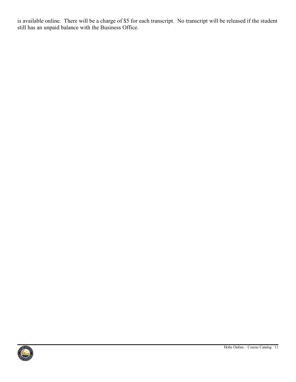is available online. There will be a charge of \$5 for each transcript. No transcript will be released if the student still has an unpaid balance with the Business Office.

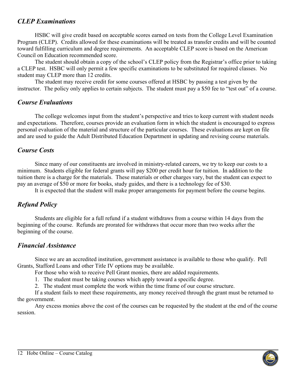# <span id="page-11-0"></span>*CLEP Examinations*

HSBC will give credit based on acceptable scores earned on tests from the College Level Examination Program (CLEP). Credits allowed for these examinations will be treated as transfer credits and will be counted toward fulfilling curriculum and degree requirements. An acceptable CLEP score is based on the American Council on Education recommended score.

The student should obtain a copy of the school's CLEP policy from the Registrar's office prior to taking a CLEP test. HSBC will only permit a few specific examinations to be substituted for required classes. No student may CLEP more than 12 credits.

The student may receive credit for some courses offered at HSBC by passing a test given by the instructor. The policy only applies to certain subjects. The student must pay a \$50 fee to "test out" of a course.

# <span id="page-11-1"></span>*Course Evaluations*

The college welcomes input from the student's perspective and tries to keep current with student needs and expectations. Therefore, courses provide an evaluation form in which the student is encouraged to express personal evaluation of the material and structure of the particular courses. These evaluations are kept on file and are used to guide the Adult Distributed Education Department in updating and revising course materials.

# <span id="page-11-2"></span>*Course Costs*

Since many of our constituents are involved in ministry-related careers, we try to keep our costs to a minimum. Students eligible for federal grants will pay \$200 per credit hour for tuition. In addition to the tuition there is a charge for the materials. These materials or other charges vary, but the student can expect to pay an average of \$50 or more for books, study guides, and there is a technology fee of \$30.

It is expected that the student will make proper arrangements for payment before the course begins.

# <span id="page-11-3"></span>*Refund Policy*

Students are eligible for a full refund if a student withdraws from a course within 14 days from the beginning of the course. Refunds are prorated for withdraws that occur more than two weeks after the beginning of the course.

# <span id="page-11-4"></span>*Financial Assistance*

Since we are an accredited institution, government assistance is available to those who qualify. Pell Grants, Stafford Loans and other Title IV options may be available.

For those who wish to receive Pell Grant monies, there are added requirements.

1. The student must be taking courses which apply toward a specific degree.

2. The student must complete the work within the time frame of our course structure.

If a student fails to meet these requirements, any money received through the grant must be returned to the government.

Any excess monies above the cost of the courses can be requested by the student at the end of the course session.

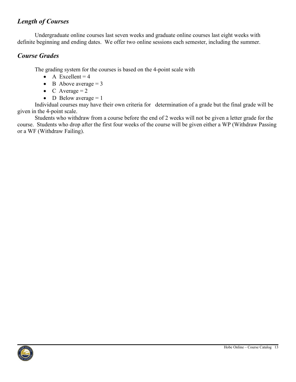# <span id="page-12-0"></span>*Length of Courses*

Undergraduate online courses last seven weeks and graduate online courses last eight weeks with definite beginning and ending dates. We offer two online sessions each semester, including the summer.

# <span id="page-12-1"></span>*Course Grades*

The grading system for the courses is based on the 4-point scale with

- A Excellent  $= 4$
- B Above average  $= 3$
- C Average  $= 2$
- D Below average  $= 1$

Individual courses may have their own criteria for determination of a grade but the final grade will be given in the 4-point scale.

Students who withdraw from a course before the end of 2 weeks will not be given a letter grade for the course. Students who drop after the first four weeks of the course will be given either a WP (Withdraw Passing or a WF (Withdraw Failing).

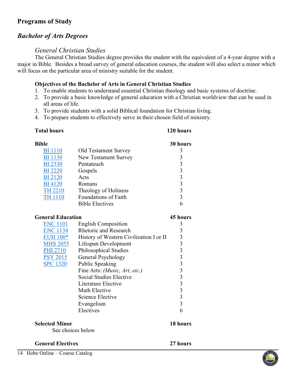# <span id="page-13-0"></span>**Programs of Study**

# <span id="page-13-1"></span>*Bachelor of Arts Degrees*

### *General Christian Studies*

<span id="page-13-2"></span>The General Christian Studies degree provides the student with the equivalent of a 4-year degree with a major in Bible. Besides a broad survey of general education courses, the student will also select a minor which will focus on the particular area of ministry suitable for the student.

### **Objectives of the Bachelor of Arts in General Christian Studies**

- 1. To enable students to understand essential Christian theology and basic systems of doctrine.
- 2. To provide a basic knowledge of general education with a Christian worldview that can be used in all areas of life.
- 3. To provide students with a solid Biblical foundation for Christian living.
- 4. To prepare students to effectively serve in their chosen field of ministry.

### **Total hours 120 hours**

| <b>Bible</b>                               |                                         | 30 hours                |
|--------------------------------------------|-----------------------------------------|-------------------------|
| <b>BI</b> 1110                             | Old Testament Survey                    | 3                       |
| <b>BI</b> 1130                             | New Testament Survey                    |                         |
| <b>BI</b> 2330                             | Pentateuch                              |                         |
| <b>BI</b> 2220                             | Gospels                                 |                         |
| <b>BI2120</b>                              | Acts                                    |                         |
| <b>BI</b> 4120                             | Romans                                  |                         |
| <b>TH 2210</b>                             | Theology of Holiness                    | $3333$<br>$333$<br>$33$ |
| <b>TH 1110</b>                             | Foundations of Faith                    |                         |
|                                            | <b>Bible Electives</b>                  | 6                       |
| <b>General Education</b>                   |                                         | <b>45 hours</b>         |
| <b>ENC 1101</b>                            | <b>English Composition</b>              | 3                       |
| <b>ENC 1134</b>                            | <b>Rhetoric and Research</b>            |                         |
| <b>EUH 100*</b>                            | History of Western Civilization I or II |                         |
| <b>MHS 2055</b>                            | Lifespan Development                    |                         |
| <b>PHI 2710</b>                            | Philosophical Studies                   |                         |
| <b>PSY 2015</b>                            | General Psychology                      |                         |
| <b>SPC 1320</b>                            | Public Speaking                         |                         |
|                                            | Fine Arts: (Music, Art, etc.)           |                         |
|                                            | <b>Social Studies Elective</b>          |                         |
|                                            | Literature Elective                     |                         |
|                                            | Math Elective                           |                         |
|                                            | <b>Science Elective</b>                 |                         |
|                                            | Evangelism                              |                         |
|                                            | Electives                               | 6                       |
| <b>Selected Minor</b><br>See choices below |                                         | 18 hours                |
|                                            |                                         |                         |
| <b>General Electives</b>                   |                                         | 27 hours                |

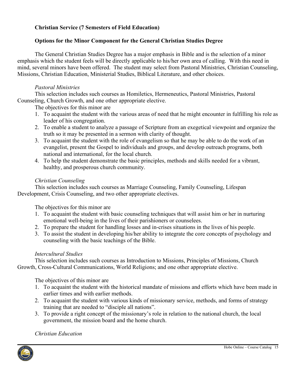### **Christian Service (7 Semesters of Field Education)**

### **Options for the Minor Component for the General Christian Studies Degree**

The General Christian Studies Degree has a major emphasis in Bible and is the selection of a minor emphasis which the student feels will be directly applicable to his/her own area of calling. With this need in mind, several minors have been offered. The student may select from Pastoral Ministries, Christian Counseling, Missions, Christian Education, Ministerial Studies, Biblical Literature, and other choices.

### *Pastoral Ministries*

This selection includes such courses as Homiletics, Hermeneutics, Pastoral Ministries, Pastoral Counseling, Church Growth, and one other appropriate elective.

The objectives for this minor are

- 1. To acquaint the student with the various areas of need that he might encounter in fulfilling his role as leader of his congregation.
- 2. To enable a student to analyze a passage of Scripture from an exegetical viewpoint and organize the truth so it may be presented in a sermon with clarity of thought.
- 3. To acquaint the student with the role of evangelism so that he may be able to do the work of an evangelist, present the Gospel to individuals and groups, and develop outreach programs, both national and international, for the local church.
- 4. To help the student demonstrate the basic principles, methods and skills needed for a vibrant, healthy, and prosperous church community.

### *Christian Counseling*

This selection includes such courses as Marriage Counseling, Family Counseling, Lifespan Development, Crisis Counseling, and two other appropriate electives.

The objectives for this minor are

- 1. To acquaint the student with basic counseling techniques that will assist him or her in nurturing emotional well-being in the lives of their parishioners or counselees.
- 2. To prepare the student for handling losses and in-crises situations in the lives of his people.
- 3. To assist the student in developing his/her ability to integrate the core concepts of psychology and counseling with the basic teachings of the Bible.

### *Intercultural Studies*

This selection includes such courses as Introduction to Missions, Principles of Missions, Church Growth, Cross-Cultural Communications, World Religions; and one other appropriate elective.

The objectives of this minor are

- 1. To acquaint the student with the historical mandate of missions and efforts which have been made in earlier times and with earlier methods.
- 2. To acquaint the student with various kinds of missionary service, methods, and forms of strategy training that are needed to "disciple all nations".
- 3. To provide a right concept of the missionary's role in relation to the national church, the local government, the mission board and the home church.

*Christian Education*

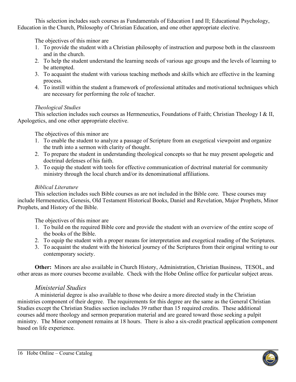This selection includes such courses as Fundamentals of Education I and II; Educational Psychology, Education in the Church, Philosophy of Christian Education, and one other appropriate elective.

The objectives of this minor are

- 1. To provide the student with a Christian philosophy of instruction and purpose both in the classroom and in the church.
- 2. To help the student understand the learning needs of various age groups and the levels of learning to be attempted.
- 3. To acquaint the student with various teaching methods and skills which are effective in the learning process.
- 4. To instill within the student a framework of professional attitudes and motivational techniques which are necessary for performing the role of teacher.

### *Theological Studies*

This selection includes such courses as Hermeneutics, Foundations of Faith; Christian Theology I & II, Apologetics, and one other appropriate elective.

The objectives of this minor are

- 1. To enable the student to analyze a passage of Scripture from an exegetical viewpoint and organize the truth into a sermon with clarity of thought.
- 2. To prepare the student in understanding theological concepts so that he may present apologetic and doctrinal defenses of his faith.
- 3. To equip the student with tools for effective communication of doctrinal material for community ministry through the local church and/or its denominational affiliations.

# *Biblical Literature*

This selection includes such Bible courses as are not included in the Bible core. These courses may include Hermeneutics, Genesis, Old Testament Historical Books, Daniel and Revelation, Major Prophets, Minor Prophets, and History of the Bible.

The objectives of this minor are

- 1. To build on the required Bible core and provide the student with an overview of the entire scope of the books of the Bible.
- 2. To equip the student with a proper means for interpretation and exegetical reading of the Scriptures.
- 3. To acquaint the student with the historical journey of the Scriptures from their original writing to our contemporary society.

**Other:** Minors are also available in Church History, Administration, Christian Business, TESOL, and other areas as more courses become available. Check with the Hobe Online office for particular subject areas.

# *Ministerial Studies*

<span id="page-15-0"></span>A ministerial degree is also available to those who desire a more directed study in the Christian ministries component of their degree. The requirements for this degree are the same as the General Christian Studies except the Christian Studies section includes 39 rather than 15 required credits. These additional courses add more theology and sermon preparation material and are geared toward those seeking a pulpit ministry. The Minor component remains at 18 hours. There is also a six-credit practical application component based on life experience.

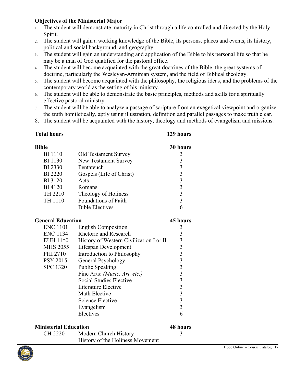### **Objectives of the Ministerial Major**

- 1. The student will demonstrate maturity in Christ through a life controlled and directed by the Holy Spirit.
- 2. The student will gain a working knowledge of the Bible, its persons, places and events, its history, political and social background, and geography.
- 3. The student will gain an understanding and application of the Bible to his personal life so that he may be a man of God qualified for the pastoral office.
- 4. The student will become acquainted with the great doctrines of the Bible, the great systems of doctrine, particularly the Wesleyan-Arminian system, and the field of Biblical theology.
- 5. The student will become acquainted with the philosophy, the religious ideas, and the problems of the contemporary world as the setting of his ministry.
- 6. The student will be able to demonstrate the basic principles, methods and skills for a spiritually effective pastoral ministry.
- 7. The student will be able to analyze a passage of scripture from an exegetical viewpoint and organize the truth homiletically, aptly using illustration, definition and parallel passages to make truth clear.
- 8. The student will be acquainted with the history, theology and methods of evangelism and missions.

### **Total hours 129 hours**

| <b>Bible</b>                 |                                                        | 30 hours                                   |
|------------------------------|--------------------------------------------------------|--------------------------------------------|
| <b>BI</b> 1110               | Old Testament Survey                                   | 3                                          |
| <b>BI</b> 1130               | New Testament Survey                                   |                                            |
| BI 2330                      | Pentateuch                                             |                                            |
| <b>BI</b> 2220               | Gospels (Life of Christ)                               |                                            |
| <b>BI</b> 3120               | Acts                                                   |                                            |
| <b>BI</b> 4120               | Romans                                                 | $3333$<br>$333$                            |
| TH 2210                      | Theology of Holiness                                   |                                            |
| TH 1110                      | Foundations of Faith                                   |                                            |
|                              | <b>Bible Electives</b>                                 | 6                                          |
| <b>General Education</b>     |                                                        | 45 hours                                   |
| <b>ENC 1101</b>              | <b>English Composition</b>                             | 3                                          |
| <b>ENC 1134</b>              | <b>Rhetoric and Research</b>                           |                                            |
| EUH 11*0                     | History of Western Civilization I or II                |                                            |
| <b>MHS 2055</b>              | Lifespan Development                                   | $3333$<br>$333$                            |
| PHI 2710                     | Introduction to Philosophy                             |                                            |
| <b>PSY 2015</b>              | General Psychology                                     |                                            |
| <b>SPC 1320</b>              | Public Speaking                                        |                                            |
|                              | Fine Arts: ( <i>Music</i> , <i>Art</i> , <i>etc.</i> ) |                                            |
|                              | Social Studies Elective                                | $\begin{array}{c} 3 \\ 3 \\ 3 \end{array}$ |
|                              | Literature Elective                                    |                                            |
|                              | Math Elective                                          |                                            |
|                              | <b>Science Elective</b>                                |                                            |
|                              | Evangelism                                             | $\overline{3}$                             |
|                              | Electives                                              | 6                                          |
| <b>Ministerial Education</b> |                                                        | <b>48 hours</b>                            |
| <b>CH 2220</b>               | Modern Church History                                  | 3                                          |
|                              | History of the Holiness Movement                       |                                            |

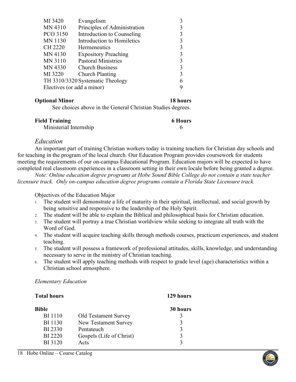### **Optional Minor 18 hours**

See choices above in the General Christian Studies degrees.

| <b>Field Training</b>  | <b>6 Hours</b> |
|------------------------|----------------|
| Ministerial Internship |                |

### *Education*

<span id="page-17-0"></span>An important part of training Christian workers today is training teachers for Christian day schools and for teaching in the program of the local church. Our Education Program provides coursework for students meeting the requirements of our on-campus Educational Program. Education majors will be expected to have completed real classroom experiences in a classroom setting in their own locale before being granted a degree.

*Note: Online education degree programs at Hobe Sound Bible College do not contain a state teacher licensure track. Only on-campus education degree programs contain a Florida State Licensure track.*

Objectives of the Education Major

- 1. The student will demonstrate a life of maturity in their spiritual, intellectual, and social growth by being sensitive and responsive to the leadership of the Holy Spirit.
- 2. The student will be able to explain the Biblical and philosophical basis for Christian education.
- 3. The student will portray a true Christian worldview while seeking to integrate all truth with the Word of God.
- 4. The student will acquire teaching skills through methods courses, practicum experiences, and student teaching.
- 5. The student will possess a framework of professional attitudes, skills, knowledge, and understanding necessary to serve in the ministry of Christian teaching.
- 6. The student will apply teaching methods with respect to grade level (age) characteristics within a Christian school atmosphere.

### <span id="page-17-1"></span>*Elementary Education*

# **Total hours 129 hours Bible 30 hours** BI 1110 Old Testament Survey 3 BI 1130 New Testament Survey 3 BI 2330 Pentateuch 3 BI 2220 Gospels (Life of Christ) 3 BI 3120 Acts 3

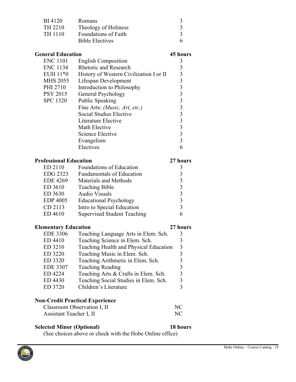| Romans                                  | 3        |
|-----------------------------------------|----------|
| Theology of Holiness                    | 3        |
| Foundations of Faith                    | 3        |
| <b>Bible Electives</b>                  | 6        |
|                                         |          |
| <b>General Education</b>                | 45 hours |
| <b>English Composition</b>              | 3        |
| <b>Rhetoric and Research</b>            | 3        |
| History of Western Civilization I or II | 3        |
| Lifespan Development                    | 3        |
| Introduction to Philosophy              | 3        |
| General Psychology                      | 3        |
| Public Speaking                         | 3        |
| Fine Arts: (Music, Art, etc.)           |          |
|                                         |          |

|                               | Social Studies Elective          |          |
|-------------------------------|----------------------------------|----------|
|                               | Literature Elective              | 3        |
|                               | Math Elective                    | 3        |
|                               | Science Elective                 | 3        |
|                               | Evangelism                       | 3        |
|                               | Electives                        | 6        |
| <b>Professional Education</b> |                                  | 27 hours |
| ED 2110                       | Foundations of Education         |          |
| EDG 2323                      | <b>Fundamentals of Education</b> | 3        |
| <b>EDE 4269</b>               | Materials and Methods            |          |
| ED 3610                       | <b>Teaching Bible</b>            |          |
|                               |                                  |          |

| $ED_{3010}$     | Teaching Bible                     |   |
|-----------------|------------------------------------|---|
| ED 3630         | <b>Audio Visuals</b>               | 3 |
| <b>EDP 4005</b> | <b>Educational Psychology</b>      | 3 |
| CD 2113         | Intro to Special Education         | 3 |
| ED 4610         | <b>Supervised Student Teaching</b> | 6 |

### **Elementary Education 27 hours**

| <b>EDE 3306</b> | Teaching Language Arts in Elem. Sch.   | 3 |
|-----------------|----------------------------------------|---|
| ED 4410         | Teaching Science in Elem. Sch.         |   |
| ED 3210         | Teaching Health and Physical Education | 3 |
| ED 3220         | Teaching Music in Elem. Sch.           |   |
| ED 3320         | Teaching Arithmetic in Elem. Sch.      | 3 |
| <b>EDE 3307</b> | <b>Teaching Reading</b>                | 3 |
| ED 4224         | Teaching Arts & Crafts in Elem. Sch.   | 3 |
| ED 4430         | Teaching Social Studies in Elem. Sch.  | 3 |
| ED 3720         | Children's Literature                  |   |
|                 |                                        |   |

# **Non-Credit Practical Experience**

| Classroom Observation I, II | N <sub>C</sub> |
|-----------------------------|----------------|
| Assistant Teacher I, II     | N <sub>C</sub> |

### **Selected Minor (Optional) 18 hours**

(See choices above or check with the Hobe Online office)

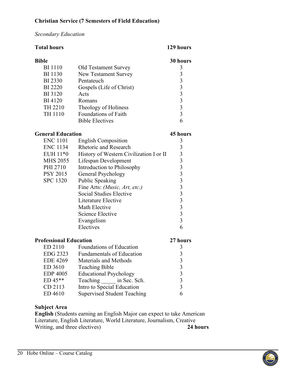### **Christian Service (7 Semesters of Field Education)**

### <span id="page-19-0"></span>*Secondary Education*

### **Total hours 129 hours**

| Bible          |                             | 30 hours |
|----------------|-----------------------------|----------|
| <b>BI</b> 1110 | <b>Old Testament Survey</b> |          |
| <b>BI</b> 1130 | New Testament Survey        | 3        |
| <b>BI</b> 2330 | Pentateuch                  | 3        |
| <b>BI</b> 2220 | Gospels (Life of Christ)    | 3        |
| <b>BI</b> 3120 | Acts                        | 3        |
| <b>BI</b> 4120 | Romans                      | 3        |
| TH 2210        | Theology of Holiness        | 3        |
| TH 1110        | Foundations of Faith        | 3        |
|                | <b>Bible Electives</b>      |          |

### **General Education 45 hours**

| <b>ENC 1101</b> | <b>English Composition</b>                             |   |
|-----------------|--------------------------------------------------------|---|
| ENC 1134        | <b>Rhetoric and Research</b>                           | 3 |
| EUH 11*0        | History of Western Civilization I or II                | 3 |
| MHS 2055        | Lifespan Development                                   | 3 |
| PHI 2710        | Introduction to Philosophy                             | 3 |
| PSY 2015        | General Psychology                                     | 3 |
| <b>SPC 1320</b> | Public Speaking                                        | 3 |
|                 | Fine Arts: ( <i>Music</i> , <i>Art</i> , <i>etc.</i> ) | 3 |
|                 | Social Studies Elective                                | 3 |
|                 | Literature Elective                                    | 3 |
|                 | Math Elective                                          | 3 |
|                 | Science Elective                                       | 3 |
|                 | Evangelism                                             | 3 |
|                 | Electives                                              |   |

| <b>Professional Education</b> |                                    | 27 hours |
|-------------------------------|------------------------------------|----------|
| ED 2110                       | Foundations of Education           | 3        |
| EDG 2323                      | <b>Fundamentals of Education</b>   | 3        |
| <b>EDE 4269</b>               | Materials and Methods              | 3        |
| ED 3610                       | <b>Teaching Bible</b>              | 3        |
| <b>EDP 4005</b>               | <b>Educational Psychology</b>      | 3        |
| $ED 45**$                     | Teaching in Sec. Sch.              | 3        |
| CD 2113                       | Intro to Special Education         | 3        |
| ED 4610                       | <b>Supervised Student Teaching</b> |          |

### **Subject Area**

**English** (Students earning an English Major can expect to take American Literature, English Literature, World Literature, Journalism, Creative Writing, and three electives)

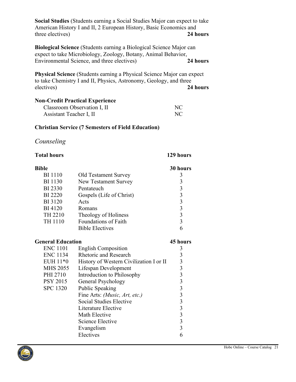**Social Studies** (Students earning a Social Studies Major can expect to take American History I and II, 2 European History, Basic Economics and three electives) **24 hours**

**Biological Science** (Students earning a Biological Science Major can expect to take Microbiology, Zoology, Botany, Animal Behavior, Environmental Science, and three electives) **24 hours**

**Physical Science** (Students earning a Physical Science Major can expect to take Chemistry I and II, Physics, Astronomy, Geology, and three electives) **24 hours**

### **Non-Credit Practical Experience**

| Classroom Observation I, II | NC |
|-----------------------------|----|
| Assistant Teacher I, II     | NC |

### **Christian Service (7 Semesters of Field Education)**

# <span id="page-20-0"></span>*Counseling*

| <b>Total hours</b>       |                                         | 129 hours       |
|--------------------------|-----------------------------------------|-----------------|
| <b>Bible</b>             |                                         | 30 hours        |
| <b>BI</b> 1110           | Old Testament Survey                    | 3               |
| <b>BI</b> 1130           | New Testament Survey                    | 3               |
| <b>BI</b> 2330           | Pentateuch                              |                 |
| <b>BI</b> 2220           | Gospels (Life of Christ)                | $3333$<br>$333$ |
| <b>BI</b> 3120           | Acts                                    |                 |
| <b>BI</b> 4120           | Romans                                  |                 |
| TH 2210                  | Theology of Holiness                    |                 |
| TH 1110                  | <b>Foundations of Faith</b>             |                 |
|                          | <b>Bible Electives</b>                  | 6               |
| <b>General Education</b> |                                         | 45 hours        |
| <b>ENC 1101</b>          | <b>English Composition</b>              | 3               |
| ENC 1134                 | <b>Rhetoric and Research</b>            | 3               |
| EUH 11*0                 | History of Western Civilization I or II |                 |
| <b>MHS 2055</b>          | Lifespan Development                    |                 |
| PHI 2710                 | Introduction to Philosophy              |                 |
| <b>PSY 2015</b>          | General Psychology                      |                 |
| <b>SPC 1320</b>          | <b>Public Speaking</b>                  |                 |
|                          | Fine Arts: (Music, Art, etc.)           |                 |
|                          | Social Studies Elective                 |                 |
|                          | Literature Elective                     |                 |
|                          | Math Elective                           |                 |
|                          | <b>Science Elective</b>                 | 3333333333      |
|                          | Evangelism                              |                 |
|                          | Electives                               | 6               |

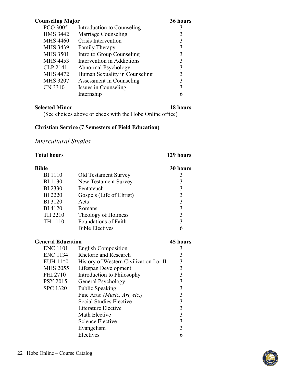| <b>Counseling Major</b> |                               | 36 hours |
|-------------------------|-------------------------------|----------|
| PCO 3005                | Introduction to Counseling    |          |
| <b>HMS 3442</b>         | Marriage Counseling           | 3        |
| <b>MHS 4460</b>         | Crisis Intervention           | 3        |
| <b>MHS 3439</b>         | <b>Family Therapy</b>         | 3        |
| <b>MHS 3501</b>         | Intro to Group Counseling     | 3        |
| <b>MHS 4453</b>         | Intervention in Addictions    | 3        |
| <b>CLP 2141</b>         | Abnormal Psychology           | 3        |
| <b>MHS 4472</b>         | Human Sexuality in Counseling | 3        |
| <b>MHS 3207</b>         | Assessment in Counseling      | 3        |
| CN 3310                 | Issues in Counseling          | 3        |
|                         | Internship                    |          |

### **Selected Minor 18 hours**

(See choices above or check with the Hobe Online office)

### **Christian Service (7 Semesters of Field Education)**

### <span id="page-21-0"></span>*Intercultural Studies*

| <b>Total hours</b>       |                                         | 129 hours       |
|--------------------------|-----------------------------------------|-----------------|
| <b>Bible</b>             |                                         | 30 hours        |
| <b>BI</b> 1110           | <b>Old Testament Survey</b>             | 3               |
| <b>BI</b> 1130           | New Testament Survey                    | 3               |
| <b>BI</b> 2330           | Pentateuch                              |                 |
| <b>BI</b> 2220           | Gospels (Life of Christ)                | $3333$<br>$333$ |
| <b>BI</b> 3120           | Acts                                    |                 |
| <b>BI</b> 4120           | Romans                                  |                 |
| TH 2210                  | Theology of Holiness                    |                 |
| TH 1110                  | Foundations of Faith                    |                 |
|                          | <b>Bible Electives</b>                  | 6               |
| <b>General Education</b> |                                         | 45 hours        |
| <b>ENC 1101</b>          | <b>English Composition</b>              | 3               |
| <b>ENC 1134</b>          | <b>Rhetoric and Research</b>            |                 |
| EUH 11*0                 | History of Western Civilization I or II |                 |
| <b>MHS 2055</b>          | Lifespan Development                    |                 |
| PHI 2710                 | Introduction to Philosophy              |                 |
| <b>PSY 2015</b>          | General Psychology                      |                 |
| <b>SPC 1320</b>          | Public Speaking                         |                 |
|                          | Fine Arts: (Music, Art, etc.)           |                 |
|                          | Social Studies Elective                 |                 |
|                          | Literature Elective                     |                 |
|                          | Math Elective                           |                 |
|                          | <b>Science Elective</b>                 |                 |
|                          | Evangelism                              |                 |
|                          | Electives                               | 6               |

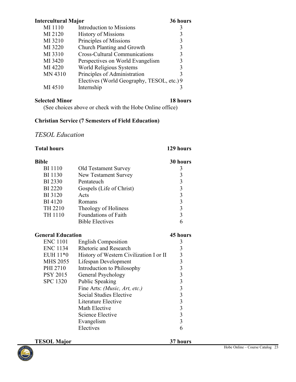| <b>Intercultural Major</b> |                                            | 36 hours |
|----------------------------|--------------------------------------------|----------|
| MI 1110                    | Introduction to Missions                   | 3        |
| MI 2120                    | <b>History of Missions</b>                 | 3        |
| MI 3210                    | Principles of Missions                     | 3        |
| MI 3220                    | Church Planting and Growth                 | 3        |
| MI 3310                    | <b>Cross-Cultural Communications</b>       | 3        |
| MI 3420                    | Perspectives on World Evangelism           | 3        |
| MI 4220                    | World Religious Systems                    | 3        |
| MN 4310                    | Principles of Administration               | 3        |
|                            | Electives (World Geography, TESOL, etc.) 9 |          |
| MI 4510                    | Internship                                 |          |
|                            |                                            |          |

### **Selected Minor 18 hours**

(See choices above or check with the Hobe Online office)

### **Christian Service (7 Semesters of Field Education)**

# <span id="page-22-0"></span>*TESOL Education*

| <b>Total hours</b>       |                                         | 129 hours               |
|--------------------------|-----------------------------------------|-------------------------|
| Bible                    |                                         | 30 hours                |
| <b>BI</b> 1110           | <b>Old Testament Survey</b>             | $\mathfrak{Z}$          |
| <b>BI</b> 1130           | <b>New Testament Survey</b>             |                         |
| <b>BI</b> 2330           | Pentateuch                              |                         |
| <b>BI</b> 2220           | Gospels (Life of Christ)                | $3333$<br>$333$<br>$33$ |
| <b>BI</b> 3120           | Acts                                    |                         |
| <b>BI</b> 4120           | Romans                                  |                         |
| TH 2210                  | Theology of Holiness                    |                         |
| TH 1110                  | <b>Foundations of Faith</b>             |                         |
|                          | <b>Bible Electives</b>                  | 6                       |
| <b>General Education</b> |                                         | 45 hours                |
| <b>ENC 1101</b>          | <b>English Composition</b>              | 3                       |
| <b>ENC 1134</b>          | Rhetoric and Research                   |                         |
| EUH 11*0                 | History of Western Civilization I or II |                         |
| <b>MHS 2055</b>          | Lifespan Development                    |                         |
| PHI 2710                 | Introduction to Philosophy              |                         |
| <b>PSY 2015</b>          | General Psychology                      |                         |
| <b>SPC 1320</b>          | Public Speaking                         |                         |
|                          | Fine Arts: (Music, Art, etc.)           |                         |
|                          | Social Studies Elective                 |                         |
|                          | Literature Elective                     |                         |
|                          | Math Elective                           |                         |
|                          | <b>Science Elective</b>                 |                         |
|                          | Evangelism                              |                         |
|                          | Electives                               | 6                       |

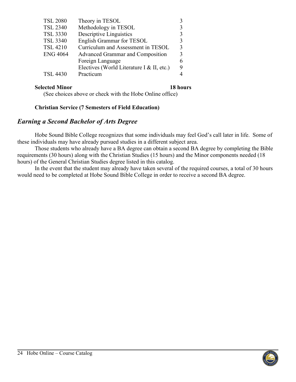| <b>TSL 2080</b> | Theory in TESOL                           |             |
|-----------------|-------------------------------------------|-------------|
| <b>TSL 2340</b> | Methodology in TESOL                      |             |
| <b>TSL 3330</b> | Descriptive Linguistics                   |             |
| <b>TSL 3340</b> | <b>English Grammar for TESOL</b>          | 3           |
| <b>TSL 4210</b> | Curriculum and Assessment in TESOL        | $\mathbf 3$ |
| <b>ENG 4064</b> | Advanced Grammar and Composition          | 3           |
|                 | Foreign Language                          |             |
|                 | Electives (World Literature I & II, etc.) | 9           |
| <b>TSL 4430</b> | Practicum                                 |             |

### **Selected Minor 18 hours**

(See choices above or check with the Hobe Online office)

### **Christian Service (7 Semesters of Field Education)**

# <span id="page-23-0"></span>*Earning a Second Bachelor of Arts Degree*

Hobe Sound Bible College recognizes that some individuals may feel God's call later in life. Some of these individuals may have already pursued studies in a different subject area.

Those students who already have a BA degree can obtain a second BA degree by completing the Bible requirements (30 hours) along with the Christian Studies (15 hours) and the Minor components needed (18 hours) of the General Christian Studies degree listed in this catalog.

In the event that the student may already have taken several of the required courses, a total of 30 hours would need to be completed at Hobe Sound Bible College in order to receive a second BA degree.

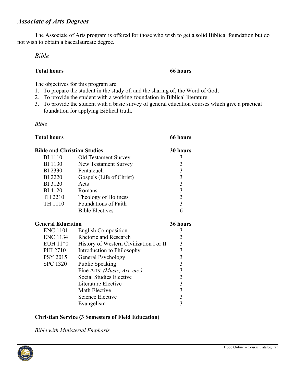# <span id="page-24-0"></span>*Associate of Arts Degrees*

The Associate of Arts program is offered for those who wish to get a solid Biblical foundation but do not wish to obtain a baccalaureate degree.

### <span id="page-24-1"></span>*Bible*

### **Total hours 66 hours**

The objectives for this program are

- 1. To prepare the student in the study of, and the sharing of, the Word of God;
- 2. To provide the student with a working foundation in Biblical literature:
- 3. To provide the student with a basic survey of general education courses which give a practical foundation for applying Biblical truth.

<span id="page-24-2"></span>*Bible* 

| <b>Total hours</b>                 |                                         | 66 hours                |
|------------------------------------|-----------------------------------------|-------------------------|
| <b>Bible and Christian Studies</b> |                                         | 30 hours                |
| <b>BI</b> 1110                     | Old Testament Survey                    | 3                       |
| <b>BI</b> 1130                     | New Testament Survey                    | $\overline{3}$          |
| <b>BI</b> 2330                     | Pentateuch                              | $\overline{\mathbf{3}}$ |
| <b>BI</b> 2220                     | Gospels (Life of Christ)                | $\overline{\mathbf{3}}$ |
| <b>BI</b> 3120                     | Acts                                    | $\overline{\mathbf{3}}$ |
| <b>BI</b> 4120                     | Romans                                  | $\overline{\mathbf{3}}$ |
| TH 2210                            | Theology of Holiness                    | $\overline{\mathbf{3}}$ |
| TH 1110                            | Foundations of Faith                    | $\overline{3}$          |
|                                    | <b>Bible Electives</b>                  | 6                       |
| <b>General Education</b>           |                                         | 36 hours                |
| <b>ENC 1101</b>                    | <b>English Composition</b>              | 3                       |
| ENC 1134                           | <b>Rhetoric and Research</b>            | $\mathfrak{Z}$          |
| EUH 11*0                           | History of Western Civilization I or II | $\overline{\mathbf{3}}$ |
| PHI 2710                           | Introduction to Philosophy              | $\overline{3}$          |
| <b>PSY 2015</b>                    | General Psychology                      | $\overline{3}$          |
| <b>SPC 1320</b>                    | <b>Public Speaking</b>                  | $\overline{\mathbf{3}}$ |
|                                    | Fine Arts: (Music, Art, etc.)           | $\overline{\mathbf{3}}$ |
|                                    | Social Studies Elective                 | $\overline{\mathbf{3}}$ |
|                                    | Literature Elective                     | $\overline{\mathbf{3}}$ |
|                                    | Math Elective                           | $\overline{3}$          |
|                                    | Science Elective                        | $\overline{\mathbf{3}}$ |
|                                    | Evangelism                              | $\overline{3}$          |

### **Christian Service (3 Semesters of Field Education)**

*Bible with Ministerial Emphasis*

<span id="page-24-3"></span>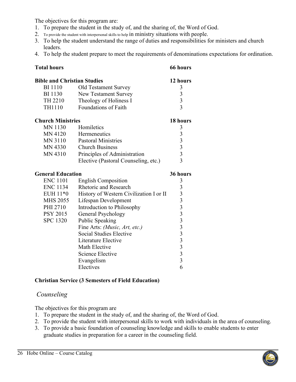The objectives for this program are:

- 1. To prepare the student in the study of, and the sharing of, the Word of God.
- 2. To provide the student with interpersonal skills to help in ministry situations with people.
- 3. To help the student understand the range of duties and responsibilities for ministers and church leaders.
- 4. To help the student prepare to meet the requirements of denominations expectations for ordination.

| <b>Total hours</b>                 |                                         | 66 hours                                          |
|------------------------------------|-----------------------------------------|---------------------------------------------------|
| <b>Bible and Christian Studies</b> |                                         | 12 hours                                          |
| <b>BI</b> 1110                     | Old Testament Survey                    | 3                                                 |
| <b>BI</b> 1130                     | New Testament Survey                    | $\begin{array}{c} 3 \\ 3 \\ 3 \end{array}$        |
| TH 2210                            | Theology of Holiness I                  |                                                   |
| TH1110                             | <b>Foundations of Faith</b>             |                                                   |
| <b>Church Ministries</b>           |                                         | 18 hours                                          |
| <b>MN 1130</b>                     | Homiletics                              | 3                                                 |
| <b>MN 4120</b>                     | Hermeneutics                            |                                                   |
| <b>MN 3110</b>                     | <b>Pastoral Ministries</b>              | $\begin{array}{c}\n3 \\ 3 \\ 3 \\ 3\n\end{array}$ |
| MN 4330                            | <b>Church Business</b>                  |                                                   |
| MN 4310                            | Principles of Administration            |                                                   |
|                                    | Elective (Pastoral Counseling, etc.)    |                                                   |
|                                    |                                         |                                                   |
| <b>General Education</b>           |                                         | 36 hours                                          |
| <b>ENC 1101</b>                    | <b>English Composition</b>              | $\mathfrak{Z}$                                    |
| <b>ENC 1134</b>                    | <b>Rhetoric and Research</b>            |                                                   |
| EUH 11*0                           | History of Western Civilization I or II |                                                   |
| <b>MHS 2055</b>                    | Lifespan Development                    |                                                   |
| PHI 2710                           | Introduction to Philosophy              |                                                   |
| <b>PSY 2015</b>                    | General Psychology                      |                                                   |
| <b>SPC 1320</b>                    | Public Speaking                         |                                                   |
|                                    | Fine Arts: (Music, Art, etc.)           |                                                   |
|                                    | Social Studies Elective                 |                                                   |
|                                    | Literature Elective                     |                                                   |
|                                    | Math Elective                           |                                                   |
|                                    | <b>Science Elective</b>                 |                                                   |
|                                    | Evangelism<br>Electives                 | 6                                                 |

### **Christian Service (3 Semesters of Field Education)**

### <span id="page-25-0"></span>*Counseling*

The objectives for this program are

- 1. To prepare the student in the study of, and the sharing of, the Word of God.
- 2. To provide the student with interpersonal skills to work with individuals in the area of counseling.
- 3. To provide a basic foundation of counseling knowledge and skills to enable students to enter graduate studies in preparation for a career in the counseling field.

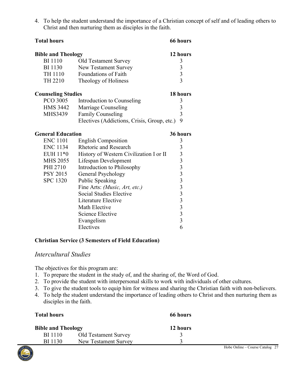| 4. To help the student understand the importance of a Christian concept of self and of leading others to |
|----------------------------------------------------------------------------------------------------------|
| Christ and then nurturing them as disciples in the faith.                                                |

| <b>Bible and Theology</b> |                                             | 12 hours                |
|---------------------------|---------------------------------------------|-------------------------|
| <b>BI</b> 1110            | <b>Old Testament Survey</b>                 | 3                       |
| <b>BI</b> 1130            | New Testament Survey                        | 3                       |
| TH 1110                   | <b>Foundations of Faith</b>                 | $\overline{3}$          |
| TH 2210                   | Theology of Holiness                        | $\overline{3}$          |
| <b>Counseling Studies</b> |                                             | 18 hours                |
| <b>PCO 3005</b>           | Introduction to Counseling                  | 3                       |
| HMS 3442                  | Marriage Counseling                         | 3                       |
| MHS3439                   | <b>Family Counseling</b>                    | $\mathfrak{Z}$          |
|                           | Electives (Addictions, Crisis, Group, etc.) | 9                       |
| <b>General Education</b>  |                                             | 36 hours                |
| <b>ENC 1101</b>           | <b>English Composition</b>                  | 3                       |
| <b>ENC 1134</b>           | <b>Rhetoric and Research</b>                | 3                       |
| EUH 11*0                  | History of Western Civilization I or II     | $\overline{\mathbf{3}}$ |
| <b>MHS 2055</b>           | Lifespan Development                        |                         |
| PHI 2710                  | Introduction to Philosophy                  | $\frac{3}{3}$           |
| PSY 2015                  | General Psychology                          | $\overline{\mathbf{3}}$ |
| <b>SPC 1320</b>           | <b>Public Speaking</b>                      | $\overline{\mathbf{3}}$ |
|                           | Fine Arts: (Music, Art, etc.)               | $\overline{\mathbf{3}}$ |
|                           | Social Studies Elective                     | $\overline{\mathbf{3}}$ |
|                           | Literature Elective                         | $\overline{\mathbf{3}}$ |
|                           | Math Elective                               | $\overline{\mathbf{3}}$ |
|                           | <b>Science Elective</b>                     | $\overline{\mathbf{3}}$ |
|                           | Evangelism                                  | $\overline{3}$          |
|                           | Electives                                   | 6                       |

**Total hours 66 hours**

### **Christian Service (3 Semesters of Field Education)**

### <span id="page-26-0"></span>*Intercultural Studies*

The objectives for this program are:

- 1. To prepare the student in the study of, and the sharing of, the Word of God.
- 2. To provide the student with interpersonal skills to work with individuals of other cultures.
- 3. To give the student tools to equip him for witness and sharing the Christian faith with non-believers.
- 4. To help the student understand the importance of leading others to Christ and then nurturing them as disciples in the faith.

| <b>Total hours</b>        |                      | 66 hours |                                 |
|---------------------------|----------------------|----------|---------------------------------|
| <b>Bible and Theology</b> |                      | 12 hours |                                 |
| <b>BI</b> 1110            | Old Testament Survey |          |                                 |
| <b>BI</b> 1130            | New Testament Survey |          |                                 |
|                           |                      |          | Hobe Online – Course Catalog 27 |

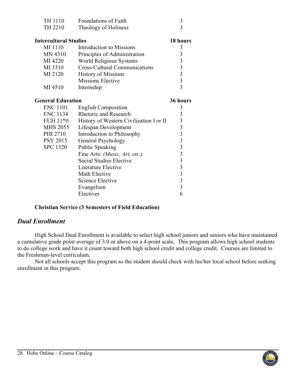| TH 1110                      | Foundations of Faith                                   | $\mathfrak{Z}$                                  |
|------------------------------|--------------------------------------------------------|-------------------------------------------------|
| TH 2210                      | Theology of Holiness                                   | $\overline{3}$                                  |
|                              |                                                        |                                                 |
| <b>Intercultural Studies</b> |                                                        | 18 hours                                        |
| MI 1110                      | Introduction to Missions                               | 3                                               |
| MN 4310                      | Principles of Administration                           | $\mathfrak{Z}$                                  |
| MI 4220                      | World Religious Systems                                |                                                 |
| MI 3310                      | <b>Cross-Cultural Communications</b>                   |                                                 |
| MI 2120                      | <b>History of Missions</b>                             |                                                 |
|                              | <b>Missions Elective</b>                               | $\begin{array}{c} 3 \\ 3 \\ 3 \\ 3 \end{array}$ |
| MI 4510                      | Internship                                             |                                                 |
|                              |                                                        |                                                 |
| <b>General Education</b>     |                                                        | 36 hours                                        |
| <b>ENC 1101</b>              | <b>English Composition</b>                             | 3                                               |
| <b>ENC 1134</b>              | <b>Rhetoric and Research</b>                           | 3                                               |
| EUH 11*0                     | History of Western Civilization I or II                |                                                 |
| <b>MHS 2055</b>              | Lifespan Development                                   |                                                 |
| PHI 2710                     | Introduction to Philosophy                             |                                                 |
| <b>PSY 2015</b>              | General Psychology                                     |                                                 |
| <b>SPC 1320</b>              | <b>Public Speaking</b>                                 |                                                 |
|                              | Fine Arts: ( <i>Music</i> , <i>Art</i> , <i>etc.</i> ) |                                                 |
|                              | <b>Social Studies Elective</b>                         |                                                 |
|                              | Literature Elective                                    |                                                 |
|                              | Math Elective                                          | 333333333                                       |
|                              | Science Elective                                       |                                                 |
|                              | Evangelism                                             | $\overline{3}$                                  |
|                              | Electives                                              | 6                                               |

### **Christian Service (3 Semesters of Field Education)**

### <span id="page-27-0"></span>*Dual Enrollment*

High School Dual Enrollment is available to select high school juniors and seniors who have maintained a cumulative grade point average of 3.0 or above on a 4-point scale. This program allows high school students to do college work and have it count toward both high school credit and college credit. Courses are limited to the Freshman-level curriculum.

Not all schools accept this program so the student should check with his/her local school before seeking enrollment in this program.

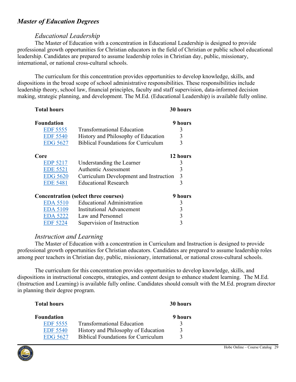# <span id="page-28-0"></span>*Master of Education Degrees*

# *Educational Leadership*

<span id="page-28-1"></span>The Master of Education with a concentration in Educational Leadership is designed to provide professional growth opportunities for Christian educators in the field of Christian or public school educational leadership. Candidates are prepared to assume leadership roles in Christian day, public, missionary, international, or national cross-cultural schools.

The curriculum for this concentration provides opportunities to develop knowledge, skills, and dispositions in the broad scope of school administrative responsibilities. These responsibilities include leadership theory, school law, financial principles, faculty and staff supervision, data-informed decision making, strategic planning, and development. The M.Ed. (Educational Leadership) is available fully online.

| <b>Foundation</b> |                                             | 9 hours  |
|-------------------|---------------------------------------------|----------|
| <b>EDF 5555</b>   | <b>Transformational Education</b>           | 3        |
| <b>EDF 5540</b>   | History and Philosophy of Education         | 3        |
| <b>EDG 5627</b>   | <b>Biblical Foundations for Curriculum</b>  | 3        |
| Core              |                                             | 12 hours |
| <b>EDP 5217</b>   | Understanding the Learner                   | 3        |
| <b>EDE 5521</b>   | <b>Authentic Assessment</b>                 | 3        |
| <b>EDG 5620</b>   | Curriculum Development and Instruction      | 3        |
| <b>EDE 5481</b>   | <b>Educational Research</b>                 | 3        |
|                   | <b>Concentration (select three courses)</b> | 9 hours  |
| <b>EDA 5510</b>   | <b>Educational Administration</b>           | 3        |
| <b>EDA 5109</b>   | <b>Institutional Advancement</b>            | 3        |
| <b>EDA 5222</b>   | Law and Personnel                           | 3        |
| EDF 5224          | Supervision of Instruction                  |          |

**Total hours 30 hours**

### *Instruction and Learning*

<span id="page-28-2"></span>The Master of Education with a concentration in Curriculum and Instruction is designed to provide professional growth opportunities for Christian educators. Candidates are prepared to assume leadership roles among peer teachers in Christian day, public, missionary, international, or national cross-cultural schools.

The curriculum for this concentration provides opportunities to develop knowledge, skills, and dispositions in instructional concepts, strategies, and content design to enhance student learning. The M.Ed. (Instruction and Learning) is available fully online. Candidates should consult with the M.Ed. program director in planning their degree program.

| <b>Total hours</b> |                                            | 30 hours |
|--------------------|--------------------------------------------|----------|
| <b>Foundation</b>  |                                            | 9 hours  |
| <b>EDF 5555</b>    | <b>Transformational Education</b>          |          |
| <b>EDF 5540</b>    | History and Philosophy of Education        | 3        |
| EDG 5627           | <b>Biblical Foundations for Curriculum</b> |          |

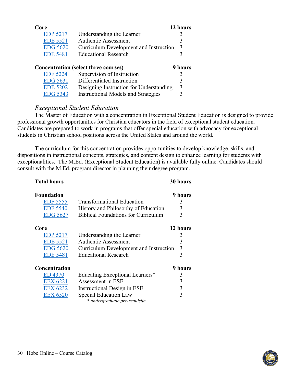| Core            |                                             | 12 hours |
|-----------------|---------------------------------------------|----------|
| <b>EDP 5217</b> | Understanding the Learner                   | 3        |
| <b>EDE 5521</b> | <b>Authentic Assessment</b>                 | 3        |
| <b>EDG 5620</b> | Curriculum Development and Instruction      | 3        |
| <b>EDE 5481</b> | <b>Educational Research</b>                 | 3        |
|                 |                                             |          |
|                 | <b>Concentration (select three courses)</b> | 9 hours  |
| <b>EDF 5224</b> | Supervision of Instruction                  | 3        |
| <b>EDG</b> 5631 | Differentiated Instruction                  | 3        |
| <b>EDE 5202</b> | Designing Instruction for Understanding     | 3        |
| <b>EDG 5343</b> | <b>Instructional Models and Strategies</b>  |          |

# *Exceptional Student Education*

The Master of Education with a concentration in Exceptional Student Education is designed to provide professional growth opportunities for Christian educators in the field of exceptional student education. Candidates are prepared to work in programs that offer special education with advocacy for exceptional students in Christian school positions across the United States and around the world.

The curriculum for this concentration provides opportunities to develop knowledge, skills, and dispositions in instructional concepts, strategies, and content design to enhance learning for students with exceptionalities. The M.Ed. (Exceptional Student Education) is available fully online. Candidates should consult with the M.Ed. program director in planning their degree program.

| <b>Total hours</b> |                                            | 30 hours |
|--------------------|--------------------------------------------|----------|
| <b>Foundation</b>  |                                            | 9 hours  |
| <b>EDF 5555</b>    | <b>Transformational Education</b>          | 3        |
| <b>EDF 5540</b>    | History and Philosophy of Education        | 3        |
| <b>EDG 5627</b>    | <b>Biblical Foundations for Curriculum</b> | 3        |
| Core               |                                            | 12 hours |
| <b>EDP 5217</b>    | Understanding the Learner                  | 3        |
| <b>EDE 5521</b>    | <b>Authentic Assessment</b>                | 3        |
| <b>EDG 5620</b>    | Curriculum Development and Instruction     | 3        |
| <b>EDE 5481</b>    | <b>Educational Research</b>                | 3        |
| Concentration      |                                            | 9 hours  |
| ED 4370            | Educating Exceptional Learners*            | 3        |
| <b>EEX 6221</b>    | Assessment in ESE                          | 3        |
| <b>EEX 6232</b>    | Instructional Design in ESE                | 3        |
| <b>EEX 6520</b>    | Special Education Law                      | 3        |
|                    | * undergraduate pre-requisite              |          |

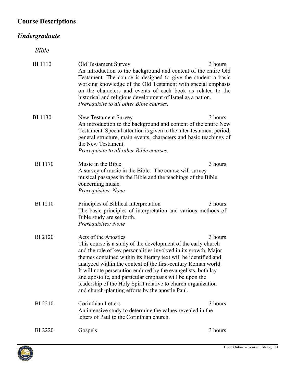# <span id="page-30-0"></span>**Course Descriptions**

# <span id="page-30-2"></span><span id="page-30-1"></span>*Undergraduate*

*Bible*

<span id="page-30-4"></span><span id="page-30-3"></span>

| BI 1110        | <b>Old Testament Survey</b><br>An introduction to the background and content of the entire Old<br>Testament. The course is designed to give the student a basic<br>working knowledge of the Old Testament with special emphasis<br>on the characters and events of each book as related to the<br>historical and religious development of Israel as a nation.<br>Prerequisite to all other Bible courses.                                                                                                                                      | 3 hours |
|----------------|------------------------------------------------------------------------------------------------------------------------------------------------------------------------------------------------------------------------------------------------------------------------------------------------------------------------------------------------------------------------------------------------------------------------------------------------------------------------------------------------------------------------------------------------|---------|
| BI 1130        | New Testament Survey<br>An introduction to the background and content of the entire New<br>Testament. Special attention is given to the inter-testament period,<br>general structure, main events, characters and basic teachings of<br>the New Testament.<br>Prerequisite to all other Bible courses.                                                                                                                                                                                                                                         | 3 hours |
| <b>BI</b> 1170 | Music in the Bible<br>A survey of music in the Bible. The course will survey<br>musical passages in the Bible and the teachings of the Bible<br>concerning music.<br>Prerequisites: None                                                                                                                                                                                                                                                                                                                                                       | 3 hours |
| <b>BI</b> 1210 | Principles of Biblical Interpretation<br>The basic principles of interpretation and various methods of<br>Bible study are set forth.<br>Prerequisites: None                                                                                                                                                                                                                                                                                                                                                                                    | 3 hours |
| <b>BI2120</b>  | Acts of the Apostles<br>This course is a study of the development of the early church<br>and the role of key personalities involved in its growth. Major<br>themes contained within its literary text will be identified and<br>analyzed within the context of the first-century Roman world.<br>It will note persecution endured by the evangelists, both lay<br>and apostolic, and particular emphasis will be upon the<br>leadership of the Holy Spirit relative to church organization<br>and church-planting efforts by the apostle Paul. | 3 hours |
| <b>BI</b> 2210 | <b>Corinthian Letters</b><br>An intensive study to determine the values revealed in the<br>letters of Paul to the Corinthian church.                                                                                                                                                                                                                                                                                                                                                                                                           | 3 hours |
| BI 2220        | Gospels                                                                                                                                                                                                                                                                                                                                                                                                                                                                                                                                        | 3 hours |

<span id="page-30-6"></span><span id="page-30-5"></span>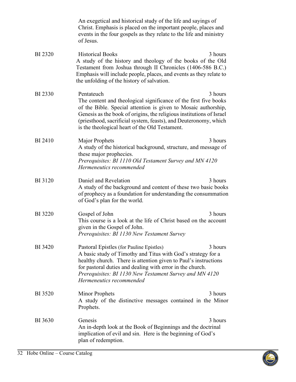<span id="page-31-0"></span>

|                | An exegetical and historical study of the life and sayings of<br>Christ. Emphasis is placed on the important people, places and<br>events in the four gospels as they relate to the life and ministry<br>of Jesus.                                                                                                                                        |
|----------------|-----------------------------------------------------------------------------------------------------------------------------------------------------------------------------------------------------------------------------------------------------------------------------------------------------------------------------------------------------------|
| <b>BI</b> 2320 | <b>Historical Books</b><br>3 hours<br>A study of the history and theology of the books of the Old<br>Testament from Joshua through II Chronicles (1406-586 B.C.)<br>Emphasis will include people, places, and events as they relate to<br>the unfolding of the history of salvation.                                                                      |
| <b>BI</b> 2330 | Pentateuch<br>3 hours<br>The content and theological significance of the first five books<br>of the Bible. Special attention is given to Mosaic authorship,<br>Genesis as the book of origins, the religious institutions of Israel<br>(priesthood, sacrificial system, feasts), and Deuteronomy, which<br>is the theological heart of the Old Testament. |
| <b>BI</b> 2410 | <b>Major Prophets</b><br>3 hours<br>A study of the historical background, structure, and message of<br>these major prophecies.<br>Prerequisites: BI 1110 Old Testament Survey and MN 4120<br>Hermeneutics recommended                                                                                                                                     |
| <b>BI</b> 3120 | Daniel and Revelation<br>3 hours<br>A study of the background and content of these two basic books<br>of prophecy as a foundation for understanding the consummation<br>of God's plan for the world.                                                                                                                                                      |
| <b>BI</b> 3220 | 3 hours<br>Gospel of John<br>This course is a look at the life of Christ based on the account<br>given in the Gospel of John.<br>Prerequisites: BI 1130 New Testament Survey                                                                                                                                                                              |
| BI 3420        | 3 hours<br>Pastoral Epistles (for Pauline Epistles)<br>A basic study of Timothy and Titus with God's strategy for a<br>healthy church. There is attention given to Paul's instructions<br>for pastoral duties and dealing with error in the church.<br>Prerequisites: BI 1130 New Testament Survey and MN 4120<br>Hermeneutics recommended                |
| <b>BI</b> 3520 | 3 hours<br><b>Minor Prophets</b><br>A study of the distinctive messages contained in the Minor<br>Prophets.                                                                                                                                                                                                                                               |
| BI 3630        | Genesis<br>3 hours<br>An in-depth look at the Book of Beginnings and the doctrinal<br>implication of evil and sin. Here is the beginning of God's<br>plan of redemption.                                                                                                                                                                                  |

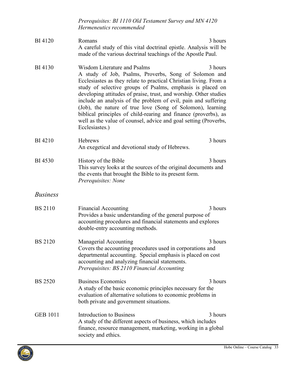<span id="page-32-1"></span>

|                 | Prerequisites: BI 1110 Old Testament Survey and MN 4120<br>Hermeneutics recommended                                                                                                                                                                                                                                                                                                                                                                                                                                                                                                    |         |
|-----------------|----------------------------------------------------------------------------------------------------------------------------------------------------------------------------------------------------------------------------------------------------------------------------------------------------------------------------------------------------------------------------------------------------------------------------------------------------------------------------------------------------------------------------------------------------------------------------------------|---------|
| <b>BI</b> 4120  | Romans<br>A careful study of this vital doctrinal epistle. Analysis will be<br>made of the various doctrinal teachings of the Apostle Paul.                                                                                                                                                                                                                                                                                                                                                                                                                                            | 3 hours |
| <b>BI</b> 4130  | Wisdom Literature and Psalms<br>A study of Job, Psalms, Proverbs, Song of Solomon and<br>Ecclesiastes as they relate to practical Christian living. From a<br>study of selective groups of Psalms, emphasis is placed on<br>developing attitudes of praise, trust, and worship. Other studies<br>include an analysis of the problem of evil, pain and suffering<br>(Job), the nature of true love (Song of Solomon), learning<br>biblical principles of child-rearing and finance (proverbs), as<br>well as the value of counsel, advice and goal setting (Proverbs,<br>Ecclesiastes.) | 3 hours |
| <b>BI</b> 4210  | Hebrews<br>An exegetical and devotional study of Hebrews.                                                                                                                                                                                                                                                                                                                                                                                                                                                                                                                              | 3 hours |
| <b>BI</b> 4530  | History of the Bible<br>This survey looks at the sources of the original documents and<br>the events that brought the Bible to its present form.<br>Prerequisites: None                                                                                                                                                                                                                                                                                                                                                                                                                | 3 hours |
| <b>Business</b> |                                                                                                                                                                                                                                                                                                                                                                                                                                                                                                                                                                                        |         |
| <b>BS</b> 2110  | <b>Financial Accounting</b><br>Provides a basic understanding of the general purpose of<br>accounting procedures and financial statements and explores<br>double-entry accounting methods.                                                                                                                                                                                                                                                                                                                                                                                             | 3 hours |
| <b>BS</b> 2120  | Managerial Accounting<br>Covers the accounting procedures used in corporations and<br>departmental accounting. Special emphasis is placed on cost<br>accounting and analyzing financial statements.<br>Prerequisites: BS 2110 Financial Accounting                                                                                                                                                                                                                                                                                                                                     | 3 hours |
| <b>BS 2520</b>  | <b>Business Economics</b><br>A study of the basic economic principles necessary for the<br>evaluation of alternative solutions to economic problems in<br>both private and government situations.                                                                                                                                                                                                                                                                                                                                                                                      | 3 hours |
| <b>GEB 1011</b> | Introduction to Business<br>A study of the different aspects of business, which includes<br>finance, resource management, marketing, working in a global<br>society and ethics.                                                                                                                                                                                                                                                                                                                                                                                                        | 3 hours |

<span id="page-32-0"></span>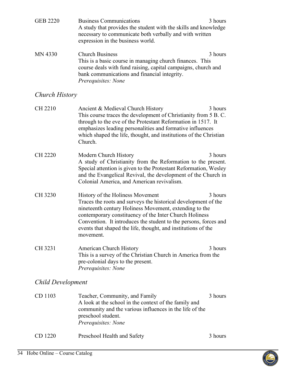<span id="page-33-0"></span>

| <b>GEB 2220</b>          | <b>Business Communications</b><br>A study that provides the student with the skills and knowledge<br>necessary to communicate both verbally and with written<br>expression in the business world.                                                                                                                                                                        | 3 hours |
|--------------------------|--------------------------------------------------------------------------------------------------------------------------------------------------------------------------------------------------------------------------------------------------------------------------------------------------------------------------------------------------------------------------|---------|
| <b>MN 4330</b>           | <b>Church Business</b><br>This is a basic course in managing church finances. This<br>course deals with fund raising, capital campaigns, church and<br>bank communications and financial integrity.<br>Prerequisites: None                                                                                                                                               | 3 hours |
| Church History           |                                                                                                                                                                                                                                                                                                                                                                          |         |
| <b>CH 2210</b>           | Ancient & Medieval Church History<br>This course traces the development of Christianity from 5 B.C.<br>through to the eve of the Protestant Reformation in 1517. It<br>emphasizes leading personalities and formative influences<br>which shaped the life, thought, and institutions of the Christian<br>Church.                                                         | 3 hours |
| CH 2220                  | Modern Church History<br>A study of Christianity from the Reformation to the present.<br>Special attention is given to the Protestant Reformation, Wesley<br>and the Evangelical Revival, the development of the Church in<br>Colonial America, and American revivalism.                                                                                                 | 3 hours |
| CH 3230                  | History of the Holiness Movement<br>Traces the roots and surveys the historical development of the<br>nineteenth century Holiness Movement, extending to the<br>contemporary constituency of the Inter Church Holiness<br>Convention. It introduces the student to the persons, forces and<br>events that shaped the life, thought, and institutions of the<br>movement. | 3 hours |
| CH 3231                  | American Church History<br>This is a survey of the Christian Church in America from the<br>pre-colonial days to the present.<br>Prerequisites: None                                                                                                                                                                                                                      | 3 hours |
| <b>Child Development</b> |                                                                                                                                                                                                                                                                                                                                                                          |         |
| CD 1103                  | Teacher, Community, and Family<br>A look at the school in the context of the family and<br>community and the various influences in the life of the<br>preschool student.<br>Prerequisites: None                                                                                                                                                                          | 3 hours |
| CD 1220                  | Preschool Health and Safety                                                                                                                                                                                                                                                                                                                                              | 3 hours |

<span id="page-33-1"></span>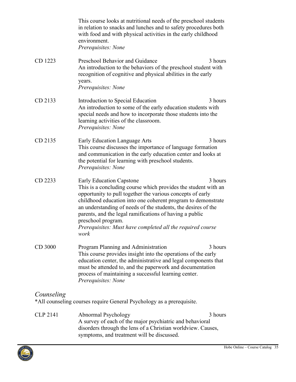|            | This course looks at nutritional needs of the preschool students<br>in relation to snacks and lunches and to safety procedures both<br>with food and with physical activities in the early childhood<br>environment.<br>Prerequisites: None                                                                                                                                                                                                             |         |
|------------|---------------------------------------------------------------------------------------------------------------------------------------------------------------------------------------------------------------------------------------------------------------------------------------------------------------------------------------------------------------------------------------------------------------------------------------------------------|---------|
| CD 1223    | Preschool Behavior and Guidance<br>An introduction to the behaviors of the preschool student with<br>recognition of cognitive and physical abilities in the early<br>years.<br>Prerequisites: None                                                                                                                                                                                                                                                      | 3 hours |
| CD 2133    | Introduction to Special Education<br>An introduction to some of the early education students with<br>special needs and how to incorporate those students into the<br>learning activities of the classroom.<br>Prerequisites: None                                                                                                                                                                                                                       | 3 hours |
| CD 2135    | Early Education Language Arts<br>This course discusses the importance of language formation<br>and communication in the early education center and looks at<br>the potential for learning with preschool students.<br>Prerequisites: None                                                                                                                                                                                                               | 3 hours |
| CD 2233    | <b>Early Education Capstone</b><br>This is a concluding course which provides the student with an<br>opportunity to pull together the various concepts of early<br>childhood education into one coherent program to demonstrate<br>an understanding of needs of the students, the desires of the<br>parents, and the legal ramifications of having a public<br>preschool program.<br>Prerequisites: Must have completed all the required course<br>work | 3 hours |
| CD 3000    | Program Planning and Administration<br>This course provides insight into the operations of the early<br>education center, the administrative and legal components that<br>must be attended to, and the paperwork and documentation<br>process of maintaining a successful learning center.<br>Prerequisites: None                                                                                                                                       | 3 hours |
| Counseling | *All counseling courses require General Psychology as a prerequisite.                                                                                                                                                                                                                                                                                                                                                                                   |         |

<span id="page-34-0"></span>CLP 2141 Abnormal Psychology 3 hours 3 hours A survey of each of the major psychiatric and behavioral disorders through the lens of a Christian worldview. Causes, symptoms, and treatment will be discussed.

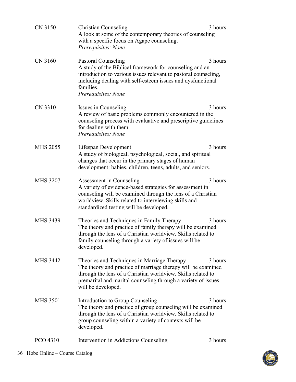<span id="page-35-0"></span>

| CN 3150         | <b>Christian Counseling</b><br>A look at some of the contemporary theories of counseling<br>with a specific focus on Agape counseling.<br>Prerequisites: None                                                                                                      | 3 hours |
|-----------------|--------------------------------------------------------------------------------------------------------------------------------------------------------------------------------------------------------------------------------------------------------------------|---------|
| CN 3160         | Pastoral Counseling<br>A study of the Biblical framework for counseling and an<br>introduction to various issues relevant to pastoral counseling,<br>including dealing with self-esteem issues and dysfunctional<br>families.<br>Prerequisites: None               | 3 hours |
| CN 3310         | Issues in Counseling<br>A review of basic problems commonly encountered in the<br>counseling process with evaluative and prescriptive guidelines<br>for dealing with them.<br>Prerequisites: None                                                                  | 3 hours |
| <b>MHS 2055</b> | Lifespan Development<br>A study of biological, psychological, social, and spiritual<br>changes that occur in the primary stages of human<br>development: babies, children, teens, adults, and seniors.                                                             | 3 hours |
| <b>MHS 3207</b> | Assessment in Counseling<br>A variety of evidence-based strategies for assessment in<br>counseling will be examined through the lens of a Christian<br>worldview. Skills related to interviewing skills and<br>standardized testing will be developed.             | 3 hours |
| <b>MHS 3439</b> | Theories and Techniques in Family Therapy<br>The theory and practice of family therapy will be examined<br>through the lens of a Christian worldview. Skills related to<br>family counseling through a variety of issues will be<br>developed.                     | 3 hours |
| MHS 3442        | Theories and Techniques in Marriage Therapy<br>The theory and practice of marriage therapy will be examined<br>through the lens of a Christian worldview. Skills related to<br>premarital and marital counseling through a variety of issues<br>will be developed. | 3 hours |
| <b>MHS 3501</b> | Introduction to Group Counseling<br>The theory and practice of group counseling will be examined<br>through the lens of a Christian worldview. Skills related to<br>group counseling within a variety of contexts will be<br>developed.                            | 3 hours |
| PCO 4310        | Intervention in Addictions Counseling                                                                                                                                                                                                                              | 3 hours |

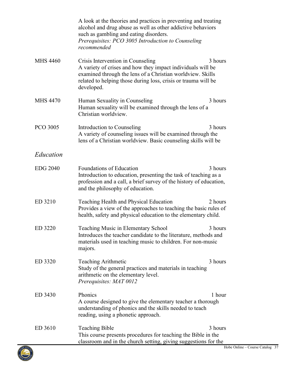<span id="page-36-0"></span>

|                 | A look at the theories and practices in preventing and treating<br>alcohol and drug abuse as well as other addictive behaviors<br>such as gambling and eating disorders.<br>Prerequisites: PCO 3005 Introduction to Counseling<br>recommended             |
|-----------------|-----------------------------------------------------------------------------------------------------------------------------------------------------------------------------------------------------------------------------------------------------------|
| <b>MHS 4460</b> | Crisis Intervention in Counseling<br>3 hours<br>A variety of crises and how they impact individuals will be<br>examined through the lens of a Christian worldview. Skills<br>related to helping those during loss, crisis or trauma will be<br>developed. |
| <b>MHS 4470</b> | 3 hours<br>Human Sexuality in Counseling<br>Human sexuality will be examined through the lens of a<br>Christian worldview.                                                                                                                                |
| PCO 3005        | 3 hours<br>Introduction to Counseling<br>A variety of counseling issues will be examined through the<br>lens of a Christian worldview. Basic counseling skills will be                                                                                    |
| Education       |                                                                                                                                                                                                                                                           |
| <b>EDG 2040</b> | Foundations of Education<br>3 hours<br>Introduction to education, presenting the task of teaching as a<br>profession and a call, a brief survey of the history of education,<br>and the philosophy of education.                                          |
| ED 3210         | Teaching Health and Physical Education<br>2 hours<br>Provides a view of the approaches to teaching the basic rules of<br>health, safety and physical education to the elementary child.                                                                   |
| ED 3220         | Teaching Music in Elementary School<br>3 hours<br>Introduces the teacher candidate to the literature, methods and<br>materials used in teaching music to children. For non-music<br>majors.                                                               |
| ED 3320         | <b>Teaching Arithmetic</b><br>3 hours<br>Study of the general practices and materials in teaching<br>arithmetic on the elementary level.<br>Prerequisites: MAT 0012                                                                                       |
| ED 3430         | Phonics<br>1 hour<br>A course designed to give the elementary teacher a thorough<br>understanding of phonics and the skills needed to teach<br>reading, using a phonetic approach.                                                                        |
| ED 3610         | <b>Teaching Bible</b><br>3 hours<br>This course presents procedures for teaching the Bible in the<br>classroom and in the church setting, giving suggestions for the                                                                                      |

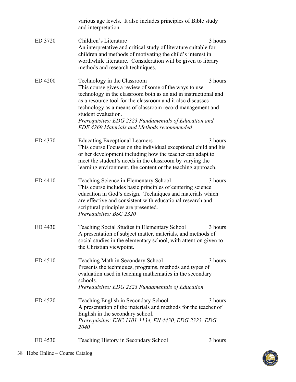<span id="page-37-0"></span>

|         | various age levels. It also includes principles of Bible study<br>and interpretation.                                                                                                                                                                                                                                                                                                                           |         |
|---------|-----------------------------------------------------------------------------------------------------------------------------------------------------------------------------------------------------------------------------------------------------------------------------------------------------------------------------------------------------------------------------------------------------------------|---------|
| ED 3720 | Children's Literature<br>An interpretative and critical study of literature suitable for<br>children and methods of motivating the child's interest in<br>worthwhile literature. Consideration will be given to library<br>methods and research techniques.                                                                                                                                                     | 3 hours |
| ED 4200 | Technology in the Classroom<br>This course gives a review of some of the ways to use<br>technology in the classroom both as an aid in instructional and<br>as a resource tool for the classroom and it also discusses<br>technology as a means of classroom record management and<br>student evaluation.<br>Prerequisites: EDG 2323 Fundamentals of Education and<br>EDE 4269 Materials and Methods recommended | 3 hours |
| ED 4370 | <b>Educating Exceptional Learners</b><br>This course Focuses on the individual exceptional child and his<br>or her development including how the teacher can adapt to<br>meet the student's needs in the classroom by varying the<br>learning environment, the content or the teaching approach.                                                                                                                | 3 hours |
| ED 4410 | Teaching Science in Elementary School<br>This course includes basic principles of centering science<br>education in God's design. Techniques and materials which<br>are effective and consistent with educational research and<br>scriptural principles are presented.<br>Prerequisites: BSC 2320                                                                                                               | 3 hours |
| ED 4430 | Teaching Social Studies in Elementary School<br>A presentation of subject matter, materials, and methods of<br>social studies in the elementary school, with attention given to<br>the Christian viewpoint.                                                                                                                                                                                                     | 3 hours |
| ED 4510 | Teaching Math in Secondary School<br>Presents the techniques, programs, methods and types of<br>evaluation used in teaching mathematics in the secondary<br>schools.<br>Prerequisites: EDG 2323 Fundamentals of Education                                                                                                                                                                                       | 3 hours |
| ED 4520 | Teaching English in Secondary School<br>A presentation of the materials and methods for the teacher of<br>English in the secondary school.<br>Prerequisites: ENC 1101-1134, EN 4430, EDG 2323, EDG<br><i>2040</i>                                                                                                                                                                                               | 3 hours |
| ED 4530 | Teaching History in Secondary School                                                                                                                                                                                                                                                                                                                                                                            | 3 hours |

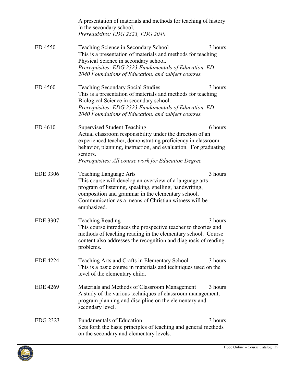|                 | A presentation of materials and methods for teaching of history<br>in the secondary school.<br>Prerequisites: EDG 2323, EDG 2040                                                                                                                                                                     |         |
|-----------------|------------------------------------------------------------------------------------------------------------------------------------------------------------------------------------------------------------------------------------------------------------------------------------------------------|---------|
| ED 4550         | Teaching Science in Secondary School<br>This is a presentation of materials and methods for teaching<br>Physical Science in secondary school.<br>Prerequisites: EDG 2323 Fundamentals of Education, ED<br>2040 Foundations of Education, and subject courses.                                        | 3 hours |
| ED 4560         | <b>Teaching Secondary Social Studies</b><br>This is a presentation of materials and methods for teaching<br>Biological Science in secondary school.<br>Prerequisites: EDG 2323 Fundamentals of Education, ED<br>2040 Foundations of Education, and subject courses.                                  | 3 hours |
| ED 4610         | <b>Supervised Student Teaching</b><br>Actual classroom responsibility under the direction of an<br>experienced teacher, demonstrating proficiency in classroom<br>behavior, planning, instruction, and evaluation. For graduating<br>seniors.<br>Prerequisites: All course work for Education Degree | 6 hours |
| <b>EDE 3306</b> | <b>Teaching Language Arts</b><br>This course will develop an overview of a language arts<br>program of listening, speaking, spelling, handwriting,<br>composition and grammar in the elementary school.<br>Communication as a means of Christian witness will be<br>emphasized.                      | 3 hours |
| <b>EDE 3307</b> | <b>Teaching Reading</b><br>This course introduces the prospective teacher to theories and<br>methods of teaching reading in the elementary school. Course<br>content also addresses the recognition and diagnosis of reading<br>problems.                                                            | 3 hours |
| <b>EDE 4224</b> | Teaching Arts and Crafts in Elementary School<br>This is a basic course in materials and techniques used on the<br>level of the elementary child.                                                                                                                                                    | 3 hours |
| <b>EDE 4269</b> | Materials and Methods of Classroom Management<br>A study of the various techniques of classroom management,<br>program planning and discipline on the elementary and<br>secondary level.                                                                                                             | 3 hours |
| EDG 2323        | <b>Fundamentals of Education</b><br>Sets forth the basic principles of teaching and general methods<br>on the secondary and elementary levels.                                                                                                                                                       | 3 hours |

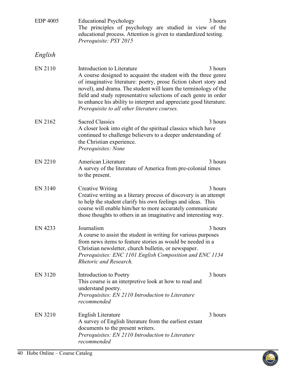<span id="page-39-0"></span>

| <b>EDP 4005</b> | <b>Educational Psychology</b><br>The principles of psychology are studied in view of the<br>educational process. Attention is given to standardized testing.<br>Prerequisite: PSY 2015                                                                                                                                                                                                                                            | 3 hours |
|-----------------|-----------------------------------------------------------------------------------------------------------------------------------------------------------------------------------------------------------------------------------------------------------------------------------------------------------------------------------------------------------------------------------------------------------------------------------|---------|
| English         |                                                                                                                                                                                                                                                                                                                                                                                                                                   |         |
| EN 2110         | Introduction to Literature<br>A course designed to acquaint the student with the three genre<br>of imaginative literature: poetry, prose fiction (short story and<br>novel), and drama. The student will learn the terminology of the<br>field and study representative selections of each genre in order<br>to enhance his ability to interpret and appreciate good literature.<br>Prerequisite to all other literature courses. | 3 hours |
| EN 2162         | <b>Sacred Classics</b><br>A closer look into eight of the spiritual classics which have<br>continued to challenge believers to a deeper understanding of<br>the Christian experience.<br>Prerequisites: None                                                                                                                                                                                                                      | 3 hours |
| <b>EN 2210</b>  | American Literature<br>A survey of the literature of America from pre-colonial times<br>to the present.                                                                                                                                                                                                                                                                                                                           | 3 hours |
| EN 3140         | <b>Creative Writing</b><br>Creative writing as a literary process of discovery is an attempt<br>to help the student clarify his own feelings and ideas. This<br>course will enable him/her to more accurately communicate<br>those thoughts to others in an imaginative and interesting way.                                                                                                                                      | 3 hours |
| EN 4233         | Journalism<br>A course to assist the student in writing for various purposes<br>from news items to feature stories as would be needed in a<br>Christian newsletter, church bulletin, or newspaper.<br>Prerequisites: ENC 1101 English Composition and ENC 1134<br>Rhetoric and Research.                                                                                                                                          | 3 hours |
| <b>EN 3120</b>  | Introduction to Poetry<br>This course is an interpretive look at how to read and<br>understand poetry.<br>Prerequisites: EN 2110 Introduction to Literature<br>recommended                                                                                                                                                                                                                                                        | 3 hours |
| EN 3210         | English Literature<br>A survey of English literature from the earliest extant<br>documents to the present writers.<br>Prerequisites: EN 2110 Introduction to Literature<br>recommended                                                                                                                                                                                                                                            | 3 hours |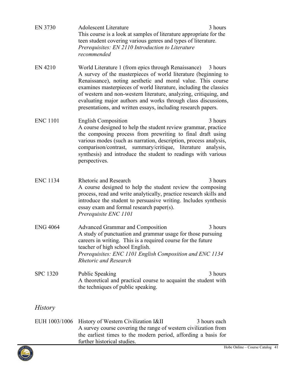<span id="page-40-2"></span><span id="page-40-1"></span>

| EN 3730         | <b>Adolescent Literature</b><br>3 hours<br>This course is a look at samples of literature appropriate for the<br>teen student covering various genres and types of literature.<br>Prerequisites: EN 2110 Introduction to Literature<br>recommended                                                                                                                                                                                                                          |
|-----------------|-----------------------------------------------------------------------------------------------------------------------------------------------------------------------------------------------------------------------------------------------------------------------------------------------------------------------------------------------------------------------------------------------------------------------------------------------------------------------------|
| EN 4210         | World Literature 1 (from epics through Renaissance)<br>3 hours<br>A survey of the masterpieces of world literature (beginning to<br>Renaissance), noting aesthetic and moral value. This course<br>examines masterpieces of world literature, including the classics<br>of western and non-western literature, analyzing, critiquing, and<br>evaluating major authors and works through class discussions,<br>presentations, and written essays, including research papers. |
| <b>ENC 1101</b> | 3 hours<br><b>English Composition</b><br>A course designed to help the student review grammar, practice<br>the composing process from prewriting to final draft using<br>various modes (such as narration, description, process analysis,<br>comparison/contrast, summary/critique, literature analysis,<br>synthesis) and introduce the student to readings with various<br>perspectives.                                                                                  |
| <b>ENC 1134</b> | <b>Rhetoric and Research</b><br>3 hours<br>A course designed to help the student review the composing<br>process, read and write analytically, practice research skills and<br>introduce the student to persuasive writing. Includes synthesis<br>essay exam and formal research paper(s).<br>Prerequisite ENC 1101                                                                                                                                                         |
| <b>ENG 4064</b> | <b>Advanced Grammar and Composition</b><br>3 hours<br>A study of punctuation and grammar usage for those pursuing<br>careers in writing. This is a required course for the future<br>teacher of high school English.<br>Prerequisites: ENC 1101 English Composition and ENC 1134<br><b>Rhetoric and Research</b>                                                                                                                                                            |
| <b>SPC 1320</b> | 3 hours<br>Public Speaking<br>A theoretical and practical course to acquaint the student with<br>the techniques of public speaking.                                                                                                                                                                                                                                                                                                                                         |
| <i>History</i>  |                                                                                                                                                                                                                                                                                                                                                                                                                                                                             |
| EUH 1003/1006   | History of Western Civilization I&II<br>3 hours each<br>A survey course covering the range of western civilization from<br>the earliest times to the modern period, affording a basis for<br>further historical studies.                                                                                                                                                                                                                                                    |

<span id="page-40-4"></span><span id="page-40-3"></span><span id="page-40-0"></span>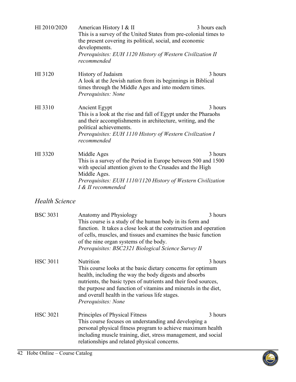| HI 2010/2020    | American History I & II<br>This is a survey of the United States from pre-colonial times to<br>the present covering its political, social, and economic<br>developments.<br>Prerequisites: EUH 1120 History of Western Civilization II<br>recommended                                                                                            | 3 hours each |
|-----------------|--------------------------------------------------------------------------------------------------------------------------------------------------------------------------------------------------------------------------------------------------------------------------------------------------------------------------------------------------|--------------|
| HI 3120         | History of Judaism<br>A look at the Jewish nation from its beginnings in Biblical<br>times through the Middle Ages and into modern times.<br>Prerequisites: None                                                                                                                                                                                 | 3 hours      |
| HI 3310         | Ancient Egypt<br>This is a look at the rise and fall of Egypt under the Pharaohs<br>and their accomplishments in architecture, writing, and the<br>political achievements.<br>Prerequisites: EUH 1110 History of Western Civilization I<br>recommended                                                                                           | 3 hours      |
| HI 3320         | Middle Ages<br>This is a survey of the Period in Europe between 500 and 1500<br>with special attention given to the Crusades and the High<br>Middle Ages.<br>Prerequisites: EUH 1110/1120 History of Western Civilization<br>I & II recommended                                                                                                  | 3 hours      |
| Health Science  |                                                                                                                                                                                                                                                                                                                                                  |              |
| <b>BSC 3031</b> | Anatomy and Physiology<br>This course is a study of the human body in its form and<br>function. It takes a close look at the construction and operation<br>of cells, muscles, and tissues and examines the basic function<br>of the nine organ systems of the body.<br>Prerequisites: BSC2321 Biological Science Survey II                       | 3 hours      |
| <b>HSC 3011</b> | Nutrition<br>This course looks at the basic dietary concerns for optimum<br>health, including the way the body digests and absorbs<br>nutrients, the basic types of nutrients and their food sources,<br>the purpose and function of vitamins and minerals in the diet,<br>and overall health in the various life stages.<br>Prerequisites: None | 3 hours      |
| <b>HSC 3021</b> | Principles of Physical Fitness<br>This course focuses on understanding and developing a<br>personal physical fitness program to achieve maximum health<br>including muscle training, diet, stress management, and social                                                                                                                         | 3 hours      |

<span id="page-41-0"></span>relationships and related physical concerns.

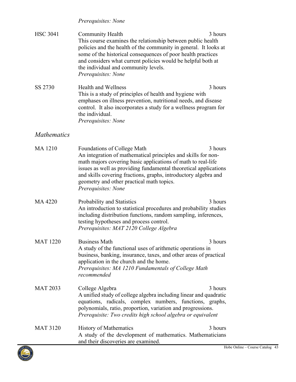### *Prerequisites: None*

| <b>HSC 3041</b> | <b>Community Health</b>                                                                                                                                              | 3 hours |
|-----------------|----------------------------------------------------------------------------------------------------------------------------------------------------------------------|---------|
|                 | This course examines the relationship between public health<br>policies and the health of the community in general. It looks at                                      |         |
|                 | some of the historical consequences of poor health practices<br>and considers what current policies would be helpful both at<br>the individual and community levels. |         |
|                 | Prerequisites: None                                                                                                                                                  |         |
| SS 2730         | <b>Health and Wellness</b><br>This is a study of principles of boolth and bygione with                                                                               | 3 hours |

This is a study of principles of health and hygiene with emphases on illness prevention, nutritional needs, and disease control. It also incorporates a study for a wellness program for the individual. *Prerequisites: None*

# <span id="page-42-0"></span>*Mathematics*

| <b>MA1210</b>   | Foundations of College Math<br>An integration of mathematical principles and skills for non-<br>math majors covering basic applications of math to real-life<br>issues as well as providing fundamental theoretical applications<br>and skills covering fractions, graphs, introductory algebra and<br>geometry and other practical math topics.<br>Prerequisites: None | 3 hours |
|-----------------|-------------------------------------------------------------------------------------------------------------------------------------------------------------------------------------------------------------------------------------------------------------------------------------------------------------------------------------------------------------------------|---------|
| MA 4220         | Probability and Statistics<br>An introduction to statistical procedures and probability studies<br>including distribution functions, random sampling, inferences,<br>testing hypotheses and process control.<br>Prerequisites: MAT 2120 College Algebra                                                                                                                 | 3 hours |
| <b>MAT 1220</b> | <b>Business Math</b><br>A study of the functional uses of arithmetic operations in<br>business, banking, insurance, taxes, and other areas of practical<br>application in the church and the home.<br>Prerequisites: MA 1210 Fundamentals of College Math<br>recommended                                                                                                | 3 hours |
| <b>MAT 2033</b> | College Algebra<br>A unified study of college algebra including linear and quadratic<br>equations, radicals, complex numbers, functions, graphs,<br>polynomials, ratio, proportion, variation and progressions.<br>Prerequisite: Two credits high school algebra or equivalent                                                                                          | 3 hours |
| <b>MAT 3120</b> | <b>History of Mathematics</b><br>A study of the development of mathematics. Mathematicians<br>and their discoveries are examined.                                                                                                                                                                                                                                       | 3 hours |

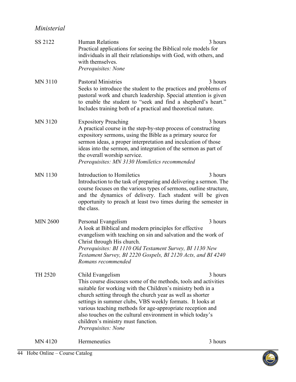# <span id="page-43-0"></span>*Ministerial*

| SS 2122         | <b>Human Relations</b><br>Practical applications for seeing the Biblical role models for<br>individuals in all their relationships with God, with others, and<br>with themselves.<br>Prerequisites: None                                                                                                                                                                                                                                                             | 3 hours |
|-----------------|----------------------------------------------------------------------------------------------------------------------------------------------------------------------------------------------------------------------------------------------------------------------------------------------------------------------------------------------------------------------------------------------------------------------------------------------------------------------|---------|
| <b>MN 3110</b>  | <b>Pastoral Ministries</b><br>Seeks to introduce the student to the practices and problems of<br>pastoral work and church leadership. Special attention is given<br>to enable the student to "seek and find a shepherd's heart."<br>Includes training both of a practical and theoretical nature.                                                                                                                                                                    | 3 hours |
| <b>MN 3120</b>  | <b>Expository Preaching</b><br>A practical course in the step-by-step process of constructing<br>expository sermons, using the Bible as a primary source for<br>sermon ideas, a proper interpretation and inculcation of those<br>ideas into the sermon, and integration of the sermon as part of<br>the overall worship service.<br>Prerequisites: MN 3130 Homiletics recommended                                                                                   | 3 hours |
| <b>MN 1130</b>  | Introduction to Homiletics<br>Introduction to the task of preparing and delivering a sermon. The<br>course focuses on the various types of sermons, outline structure,<br>and the dynamics of delivery. Each student will be given<br>opportunity to preach at least two times during the semester in<br>the class.                                                                                                                                                  | 3 hours |
| <b>MIN 2600</b> | Personal Evangelism<br>A look at Biblical and modern principles for effective<br>evangelism with teaching on sin and salvation and the work of<br>Christ through His church.<br>Prerequisites: BI 1110 Old Testament Survey, BI 1130 New<br>Testament Survey, BI 2220 Gospels, BI 2120 Acts, and BI 4240<br>Romans recommended                                                                                                                                       | 3 hours |
| TH 2520         | Child Evangelism<br>This course discusses some of the methods, tools and activities<br>suitable for working with the Children's ministry both in a<br>church setting through the church year as well as shorter<br>settings in summer clubs, VBS weekly formats. It looks at<br>various teaching methods for age-appropriate reception and<br>also touches on the cultural environment in which today's<br>children's ministry must function.<br>Prerequisites: None | 3 hours |
| <b>MN 4120</b>  | Hermeneutics                                                                                                                                                                                                                                                                                                                                                                                                                                                         | 3 hours |

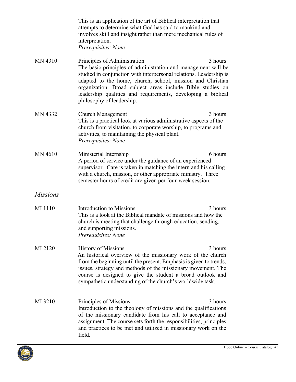|                 | This is an application of the art of Biblical interpretation that<br>attempts to determine what God has said to mankind and<br>involves skill and insight rather than mere mechanical rules of<br>interpretation.<br>Prerequisites: None                                                                                                                                                                |
|-----------------|---------------------------------------------------------------------------------------------------------------------------------------------------------------------------------------------------------------------------------------------------------------------------------------------------------------------------------------------------------------------------------------------------------|
| <b>MN 4310</b>  | Principles of Administration<br>3 hours<br>The basic principles of administration and management will be<br>studied in conjunction with interpersonal relations. Leadership is<br>adapted to the home, church, school, mission and Christian<br>organization. Broad subject areas include Bible studies on<br>leadership qualities and requirements, developing a biblical<br>philosophy of leadership. |
| MN 4332         | 3 hours<br><b>Church Management</b><br>This is a practical look at various administrative aspects of the<br>church from visitation, to corporate worship, to programs and<br>activities, to maintaining the physical plant.<br>Prerequisites: None                                                                                                                                                      |
| <b>MN 4610</b>  | 6 hours<br>Ministerial Internship<br>A period of service under the guidance of an experienced<br>supervisor. Care is taken in matching the intern and his calling<br>with a church, mission, or other appropriate ministry. Three<br>semester hours of credit are given per four-week session.                                                                                                          |
| <i>Missions</i> |                                                                                                                                                                                                                                                                                                                                                                                                         |
| MI 1110         | Introduction to Missions<br>3 hours<br>This is a look at the Biblical mandate of missions and how the<br>church is meeting that challenge through education, sending,<br>and supporting missions.<br>Prerequisites: None                                                                                                                                                                                |
| MI 2120         | 3 hours<br><b>History of Missions</b><br>An historical overview of the missionary work of the church<br>from the beginning until the present. Emphasis is given to trends,<br>issues, strategy and methods of the missionary movement. The<br>course is designed to give the student a broad outlook and<br>sympathetic understanding of the church's worldwide task.                                   |
| MI 3210         | Principles of Missions<br>3 hours<br>Introduction to the theology of missions and the qualifications<br>of the missionary candidate from his call to acceptance and<br>assignment. The course sets forth the responsibilities, principles<br>and practices to be met and utilized in missionary work on the<br>field.                                                                                   |

<span id="page-44-0"></span>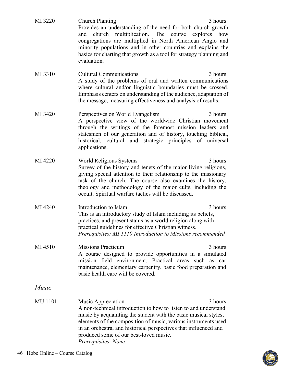<span id="page-45-0"></span>

| MI 3220        | <b>Church Planting</b><br>3 hours<br>Provides an understanding of the need for both church growth<br>multiplication. The<br>and church<br>course<br>explores how<br>congregations are multiplied in North American Anglo and<br>minority populations and in other countries and explains the<br>basics for charting that growth as a tool for strategy planning and<br>evaluation. |
|----------------|------------------------------------------------------------------------------------------------------------------------------------------------------------------------------------------------------------------------------------------------------------------------------------------------------------------------------------------------------------------------------------|
| MI 3310        | <b>Cultural Communications</b><br>3 hours<br>A study of the problems of oral and written communications<br>where cultural and/or linguistic boundaries must be crossed.<br>Emphasis centers on understanding of the audience, adaptation of<br>the message, measuring effectiveness and analysis of results.                                                                       |
| MI 3420        | Perspectives on World Evangelism<br>3 hours<br>A perspective view of the worldwide Christian movement<br>through the writings of the foremost mission leaders and<br>statesmen of our generation and of history, touching biblical,<br>historical, cultural and strategic principles of universal<br>applications.                                                                 |
| MI 4220        | World Religious Systems<br>3 hours<br>Survey of the history and tenets of the major living religions,<br>giving special attention to their relationship to the missionary<br>task of the church. The course also examines the history,<br>theology and methodology of the major cults, including the<br>occult. Spiritual warfare tactics will be discussed.                       |
| MI 4240        | Introduction to Islam<br>3 hours<br>This is an introductory study of Islam including its beliefs,<br>practices, and present status as a world religion along with<br>practical guidelines for effective Christian witness.<br>Prerequisites: MI 1110 Introduction to Missions recommended                                                                                          |
| MI 4510        | <b>Missions Practicum</b><br>3 hours<br>A course designed to provide opportunities in a simulated<br>mission field environment. Practical areas such as car<br>maintenance, elementary carpentry, basic food preparation and<br>basic health care will be covered.                                                                                                                 |
| Music          |                                                                                                                                                                                                                                                                                                                                                                                    |
| <b>MU</b> 1101 | 3 hours<br>Music Appreciation<br>A non-technical introduction to how to listen to and understand<br>music by acquainting the student with the basic musical styles,<br>elements of the composition of music, various instruments used<br>in an orchestra, and historical perspectives that influenced and<br>produced some of our best-loved music.<br>Prerequisites: None         |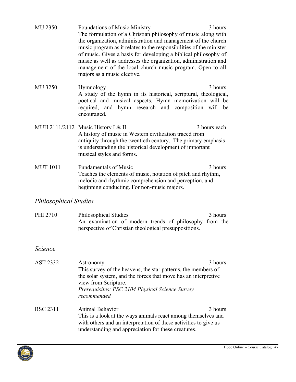| <b>MU 2350</b>               | <b>Foundations of Music Ministry</b><br>The formulation of a Christian philosophy of music along with<br>the organization, administration and management of the church<br>music program as it relates to the responsibilities of the minister<br>of music. Gives a basis for developing a biblical philosophy of<br>music as well as addresses the organization, administration and<br>management of the local church music program. Open to all<br>majors as a music elective. | 3 hours             |
|------------------------------|---------------------------------------------------------------------------------------------------------------------------------------------------------------------------------------------------------------------------------------------------------------------------------------------------------------------------------------------------------------------------------------------------------------------------------------------------------------------------------|---------------------|
| <b>MU 3250</b>               | Hymnology<br>A study of the hymn in its historical, scriptural, theological,<br>poetical and musical aspects. Hymn memorization will be<br>required, and hymn research and composition will be<br>encouraged.                                                                                                                                                                                                                                                                   | 3 hours             |
|                              | MUH 2111/2112 Music History I & II<br>A history of music in Western civilization traced from<br>antiquity through the twentieth century. The primary emphasis<br>is understanding the historical development of important<br>musical styles and forms.                                                                                                                                                                                                                          | 3 hours each        |
| <b>MUT 1011</b>              | <b>Fundamentals of Music</b><br>Teaches the elements of music, notation of pitch and rhythm,<br>melodic and rhythmic comprehension and perception, and<br>beginning conducting. For non-music majors.                                                                                                                                                                                                                                                                           | 3 hours             |
| <b>Philosophical Studies</b> |                                                                                                                                                                                                                                                                                                                                                                                                                                                                                 |                     |
| <b>PHI 2710</b>              | Philosophical Studies<br>An examination of modern trends of philosophy<br>perspective of Christian theological presuppositions.                                                                                                                                                                                                                                                                                                                                                 | 3 hours<br>from the |
| <i>Science</i>               |                                                                                                                                                                                                                                                                                                                                                                                                                                                                                 |                     |
| <b>AST 2332</b>              | Astronomy<br>This survey of the heavens, the star patterns, the members of<br>the solar system, and the forces that move has an interpretive<br>view from Scripture.<br>Prerequisites: PSC 2104 Physical Science Survey<br>recommended                                                                                                                                                                                                                                          | 3 hours             |

<span id="page-46-2"></span><span id="page-46-1"></span><span id="page-46-0"></span>BSC 2311 Animal Behavior 3 hours This is a look at the ways animals react among themselves and with others and an interpretation of these activities to give us understanding and appreciation for these creatures.

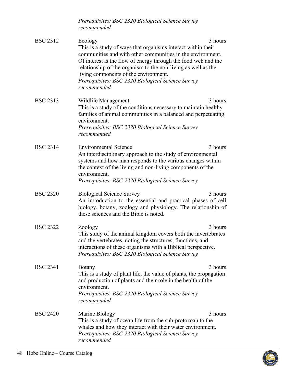|                 | Prerequisites: BSC 2320 Biological Science Survey<br>recommended                                                                                                                                                                                                                                                                                                                      |         |
|-----------------|---------------------------------------------------------------------------------------------------------------------------------------------------------------------------------------------------------------------------------------------------------------------------------------------------------------------------------------------------------------------------------------|---------|
| <b>BSC 2312</b> | Ecology<br>This is a study of ways that organisms interact within their<br>communities and with other communities in the environment.<br>Of interest is the flow of energy through the food web and the<br>relationship of the organism to the non-living as well as the<br>living components of the environment.<br>Prerequisites: BSC 2320 Biological Science Survey<br>recommended | 3 hours |
| <b>BSC 2313</b> | Wildlife Management<br>This is a study of the conditions necessary to maintain healthy<br>families of animal communities in a balanced and perpetuating<br>environment.<br>Prerequisites: BSC 2320 Biological Science Survey<br>recommended                                                                                                                                           | 3 hours |
| <b>BSC 2314</b> | <b>Environmental Science</b><br>An interdisciplinary approach to the study of environmental<br>systems and how man responds to the various changes within<br>the context of the living and non-living components of the<br>environment.<br>Prerequisites: BSC 2320 Biological Science Survey                                                                                          | 3 hours |
| <b>BSC 2320</b> | <b>Biological Science Survey</b><br>An introduction to the essential and practical phases of cell<br>biology, botany, zoology and physiology. The relationship of<br>these sciences and the Bible is noted.                                                                                                                                                                           | 3 hours |
| <b>BSC 2322</b> | Zoology<br>This study of the animal kingdom covers both the invertebrates<br>and the vertebrates, noting the structures, functions, and<br>interactions of these organisms with a Biblical perspective.<br>Prerequisites: BSC 2320 Biological Science Survey                                                                                                                          | 3 hours |
| <b>BSC 2341</b> | <b>Botany</b><br>This is a study of plant life, the value of plants, the propagation<br>and production of plants and their role in the health of the<br>environment.<br>Prerequisites: BSC 2320 Biological Science Survey<br>recommended                                                                                                                                              | 3 hours |
| <b>BSC 2420</b> | Marine Biology<br>This is a study of ocean life from the sub-protozoan to the<br>whales and how they interact with their water environment.<br>Prerequisites: BSC 2320 Biological Science Survey<br>recommended                                                                                                                                                                       | 3 hours |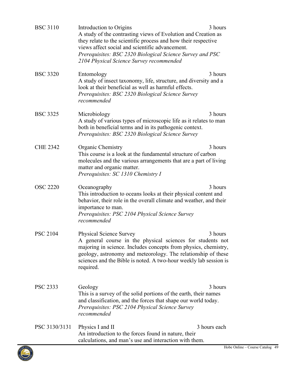| <b>BSC 3110</b> | Introduction to Origins<br>A study of the contrasting views of Evolution and Creation as<br>they relate to the scientific process and how their respective<br>views affect social and scientific advancement.<br>Prerequisites: BSC 2320 Biological Science Survey and PSC<br>2104 Physical Science Survey recommended | 3 hours      |
|-----------------|------------------------------------------------------------------------------------------------------------------------------------------------------------------------------------------------------------------------------------------------------------------------------------------------------------------------|--------------|
| <b>BSC 3320</b> | Entomology<br>A study of insect taxonomy, life, structure, and diversity and a<br>look at their beneficial as well as harmful effects.<br>Prerequisites: BSC 2320 Biological Science Survey<br>recommended                                                                                                             | 3 hours      |
| <b>BSC 3325</b> | Microbiology<br>A study of various types of microscopic life as it relates to man<br>both in beneficial terms and in its pathogenic context.<br>Prerequisites: BSC 2320 Biological Science Survey                                                                                                                      | 3 hours      |
| <b>CHE 2342</b> | <b>Organic Chemistry</b><br>This course is a look at the fundamental structure of carbon<br>molecules and the various arrangements that are a part of living<br>matter and organic matter.<br>Prerequisites: SC 1310 Chemistry I                                                                                       | 3 hours      |
| <b>OSC 2220</b> | Oceanography<br>This introduction to oceans looks at their physical content and<br>behavior, their role in the overall climate and weather, and their<br>importance to man.<br>Prerequisites: PSC 2104 Physical Science Survey<br>recommended                                                                          | 3 hours      |
| <b>PSC 2104</b> | Physical Science Survey<br>A general course in the physical sciences for students not<br>majoring in science. Includes concepts from physics, chemistry,<br>geology, astronomy and meteorology. The relationship of these<br>sciences and the Bible is noted. A two-hour weekly lab session is<br>required.            | 3 hours      |
| <b>PSC 2333</b> | Geology<br>This is a survey of the solid portions of the earth, their names<br>and classification, and the forces that shape our world today.<br>Prerequisites: PSC 2104 Physical Science Survey<br>recommended                                                                                                        | 3 hours      |
| PSC 3130/3131   | Physics I and II<br>An introduction to the forces found in nature, their<br>calculations, and man's use and interaction with them.                                                                                                                                                                                     | 3 hours each |

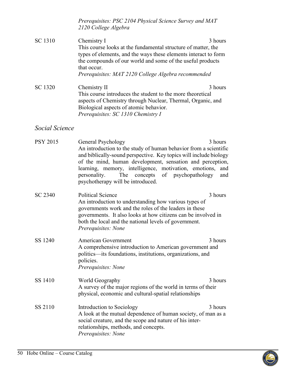<span id="page-49-1"></span><span id="page-49-0"></span>

|                 | Prerequisites: PSC 2104 Physical Science Survey and MAT<br>2120 College Algebra                                                                                                                                                                                                                                                                                              |                       |
|-----------------|------------------------------------------------------------------------------------------------------------------------------------------------------------------------------------------------------------------------------------------------------------------------------------------------------------------------------------------------------------------------------|-----------------------|
| SC 1310         | Chemistry I<br>This course looks at the fundamental structure of matter, the<br>types of elements, and the ways these elements interact to form<br>the compounds of our world and some of the useful products<br>that occur.<br>Prerequisites: MAT 2120 College Algebra recommended                                                                                          | 3 hours               |
| SC 1320         | Chemistry II<br>This course introduces the student to the more theoretical<br>aspects of Chemistry through Nuclear, Thermal, Organic, and<br>Biological aspects of atomic behavior.<br>Prerequisites: SC 1310 Chemistry I                                                                                                                                                    | 3 hours               |
| Social Science  |                                                                                                                                                                                                                                                                                                                                                                              |                       |
| <b>PSY 2015</b> | General Psychology<br>An introduction to the study of human behavior from a scientific<br>and biblically-sound perspective. Key topics will include biology<br>of the mind, human development, sensation and perception,<br>learning, memory, intelligence, motivation, emotions,<br>The<br>concepts of psychopathology<br>personality.<br>psychotherapy will be introduced. | 3 hours<br>and<br>and |
| SC 2340         | <b>Political Science</b><br>An introduction to understanding how various types of<br>governments work and the roles of the leaders in these<br>governments. It also looks at how citizens can be involved in<br>both the local and the national levels of government.<br>Prerequisites: None                                                                                 | 3 hours               |
| SS 1240         | American Government<br>A comprehensive introduction to American government and<br>politics—its foundations, institutions, organizations, and<br>policies.<br>Prerequisites: None                                                                                                                                                                                             | 3 hours               |
| SS 1410         | World Geography<br>A survey of the major regions of the world in terms of their<br>physical, economic and cultural-spatial relationships                                                                                                                                                                                                                                     | 3 hours               |
| SS 2110         | Introduction to Sociology<br>A look at the mutual dependence of human society, of man as a<br>social creature, and the scope and nature of his inter-<br>relationships, methods, and concepts.<br>Prerequisites: None                                                                                                                                                        | 3 hours               |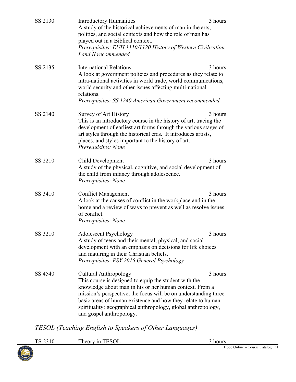| SS 2130 | <b>Introductory Humanities</b><br>A study of the historical achievements of man in the arts,<br>politics, and social contexts and how the role of man has<br>played out in a Biblical context.<br>Prerequisites: EUH 1110/1120 History of Western Civilization<br>I and II recommended                                                                                          | 3 hours |
|---------|---------------------------------------------------------------------------------------------------------------------------------------------------------------------------------------------------------------------------------------------------------------------------------------------------------------------------------------------------------------------------------|---------|
| SS 2135 | <b>International Relations</b><br>A look at government policies and procedures as they relate to<br>intra-national activities in world trade, world communications,<br>world security and other issues affecting multi-national<br>relations.<br>Prerequisites: SS 1240 American Government recommended                                                                         | 3 hours |
| SS 2140 | Survey of Art History<br>This is an introductory course in the history of art, tracing the<br>development of earliest art forms through the various stages of<br>art styles through the historical eras. It introduces artists,<br>places, and styles important to the history of art.<br>Prerequisites: None                                                                   | 3 hours |
| SS 2210 | Child Development<br>A study of the physical, cognitive, and social development of<br>the child from infancy through adolescence.<br>Prerequisites: None                                                                                                                                                                                                                        | 3 hours |
| SS 3410 | <b>Conflict Management</b><br>A look at the causes of conflict in the workplace and in the<br>home and a review of ways to prevent as well as resolve issues<br>of conflict.<br>Prerequisites: None                                                                                                                                                                             | 3 hours |
| SS 3210 | <b>Adolescent Psychology</b><br>A study of teens and their mental, physical, and social<br>development with an emphasis on decisions for life choices<br>and maturing in their Christian beliefs.<br>Prerequisites: PSY 2015 General Psychology                                                                                                                                 | 3 hours |
| SS 4540 | <b>Cultural Anthropology</b><br>This course is designed to equip the student with the<br>knowledge about man in his or her human context. From a<br>mission's perspective, the focus will be on understanding three<br>basic areas of human existence and how they relate to human<br>spirituality: geographical anthropology, global anthropology,<br>and gospel anthropology. | 3 hours |

*TESOL (Teaching English to Speakers of Other Languages)*

<span id="page-50-0"></span>

|         | $ESC^{\tau}$<br>heory<br>$\tau$ 11 | hours                                      |
|---------|------------------------------------|--------------------------------------------|
| OBE SOL |                                    | Hobe<br>Course Catalog<br>Online<br>$\sim$ |

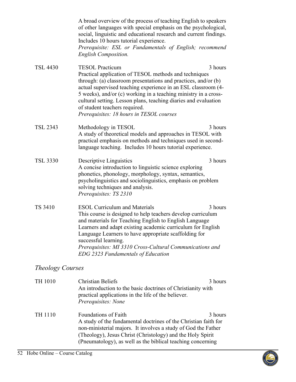|                         | A broad overview of the process of teaching English to speakers<br>of other languages with special emphasis on the psychological,<br>social, linguistic and educational research and current findings.<br>Includes 10 hours tutorial experience.<br>Prerequisite: ESL or Fundamentals of English; recommend<br><b>English Composition.</b>                                                                                            |         |
|-------------------------|---------------------------------------------------------------------------------------------------------------------------------------------------------------------------------------------------------------------------------------------------------------------------------------------------------------------------------------------------------------------------------------------------------------------------------------|---------|
| <b>TSL 4430</b>         | <b>TESOL Practicum</b><br>Practical application of TESOL methods and techniques<br>through: (a) classroom presentations and practices, and/or (b)<br>actual supervised teaching experience in an ESL classroom (4-<br>5 weeks), and/or (c) working in a teaching ministry in a cross-<br>cultural setting. Lesson plans, teaching diaries and evaluation<br>of student teachers required.<br>Prerequisites: 18 hours in TESOL courses | 3 hours |
| <b>TSL 2343</b>         | Methodology in TESOL<br>A study of theoretical models and approaches in TESOL with<br>practical emphasis on methods and techniques used in second-<br>language teaching. Includes 10 hours tutorial experience.                                                                                                                                                                                                                       | 3 hours |
| <b>TSL 3330</b>         | Descriptive Linguistics<br>A concise introduction to linguistic science exploring<br>phonetics, phonology, morphology, syntax, semantics,<br>psycholinguistics and sociolinguistics, emphasis on problem<br>solving techniques and analysis.<br>Prerequisites: TS 2310                                                                                                                                                                | 3 hours |
| TS 3410                 | <b>ESOL Curriculum and Materials</b><br>This course is designed to help teachers develop curriculum<br>and materials for Teaching English to English Language<br>Learners and adapt existing academic curriculum for English<br>Language Learners to have appropriate scaffolding for<br>successful learning.<br>Prerequisites: MI 3310 Cross-Cultural Communications and<br><b>EDG 2323 Fundamentals of Education</b>                | 3 hours |
| <i>Theology Courses</i> |                                                                                                                                                                                                                                                                                                                                                                                                                                       |         |
| TH 1010                 | <b>Christian Beliefs</b><br>An introduction to the basic doctrines of Christianity with<br>practical applications in the life of the believer.<br>Prerequisites: None                                                                                                                                                                                                                                                                 | 3 hours |
| TH 1110                 | <b>Foundations of Faith</b><br>A study of the fundamental doctrines of the Christian faith for<br>non-ministerial majors. It involves a study of God the Father<br>(Theology), Jesus Christ (Christology) and the Holy Spirit                                                                                                                                                                                                         | 3 hours |

<span id="page-51-1"></span><span id="page-51-0"></span>(Pneumatology), as well as the biblical teaching concerning

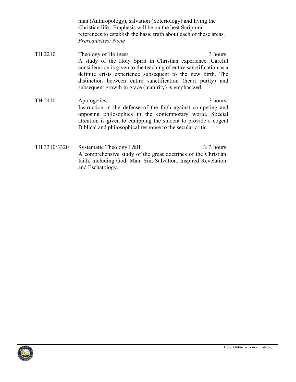<span id="page-52-0"></span>man (Anthropology), salvation (Soteriology) and living the Christian life. Emphasis will be on the best Scriptural references to establish the basic truth about each of these areas. *Prerequisites: None* 

- TH 2210 Theology of Holiness 3 hours A study of the Holy Spirit in Christian experience. Careful consideration is given to the teaching of entire sanctification as a definite crisis experience subsequent to the new birth. The distinction between entire sanctification (heart purity) and subsequent growth in grace (maturity) is emphasized.
- TH 2410 Apologetics 3 hours Instruction in the defense of the faith against competing and opposing philosophies in the contemporary world. Special attention is given to equipping the student to provide a cogent Biblical and philosophical response to the secular critic.
- TH 3310/3320 Systematic Theology I &II 3, 3 hours A comprehensive study of the great doctrines of the Christian faith, including God, Man, Sin, Salvation, Inspired Revelation and Eschatology.

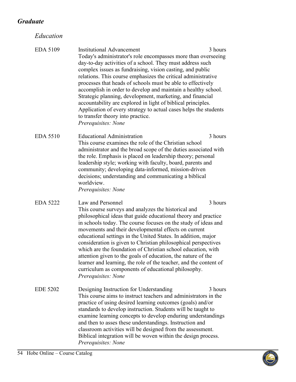# <span id="page-53-1"></span><span id="page-53-0"></span>*Graduate*

*Education*

<span id="page-53-5"></span><span id="page-53-4"></span><span id="page-53-3"></span><span id="page-53-2"></span>

| EDA 5109        | <b>Institutional Advancement</b><br>Today's administrator's role encompasses more than overseeing<br>day-to-day activities of a school. They must address such<br>complex issues as fundraising, vision casting, and public<br>relations. This course emphasizes the critical administrative<br>processes that heads of schools must be able to effectively<br>accomplish in order to develop and maintain a healthy school.<br>Strategic planning, development, marketing, and financial<br>accountability are explored in light of biblical principles.<br>Application of every strategy to actual cases helps the students<br>to transfer theory into practice.<br>Prerequisites: None | 3 hours |
|-----------------|-------------------------------------------------------------------------------------------------------------------------------------------------------------------------------------------------------------------------------------------------------------------------------------------------------------------------------------------------------------------------------------------------------------------------------------------------------------------------------------------------------------------------------------------------------------------------------------------------------------------------------------------------------------------------------------------|---------|
| <b>EDA 5510</b> | <b>Educational Administration</b><br>This course examines the role of the Christian school<br>administrator and the broad scope of the duties associated with<br>the role. Emphasis is placed on leadership theory; personal<br>leadership style; working with faculty, board, parents and<br>community; developing data-informed, mission-driven<br>decisions; understanding and communicating a biblical<br>worldview.<br>Prerequisites: None                                                                                                                                                                                                                                           | 3 hours |
| <b>EDA 5222</b> | Law and Personnel<br>This course surveys and analyzes the historical and<br>philosophical ideas that guide educational theory and practice<br>in schools today. The course focuses on the study of ideas and<br>movements and their developmental effects on current                                                                                                                                                                                                                                                                                                                                                                                                                      | 3 hours |
|                 | educational settings in the United States. In addition, major<br>consideration is given to Christian philosophical perspectives<br>which are the foundation of Christian school education, with<br>attention given to the goals of education, the nature of the<br>learner and learning, the role of the teacher, and the content of<br>curriculum as components of educational philosophy.<br>Prerequisites: None                                                                                                                                                                                                                                                                        |         |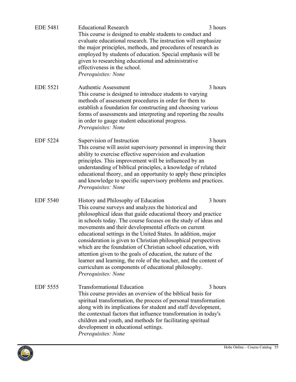<span id="page-54-4"></span><span id="page-54-3"></span><span id="page-54-2"></span>

| <b>EDE 5481</b> | <b>Educational Research</b><br>This course is designed to enable students to conduct and<br>evaluate educational research. The instruction will emphasize<br>the major principles, methods, and procedures of research as<br>employed by students of education. Special emphasis will be<br>given to researching educational and administrative<br>effectiveness in the school.<br>Prerequisites: None                                                                                                                                                                                                                                                                                                       | 3 hours |
|-----------------|--------------------------------------------------------------------------------------------------------------------------------------------------------------------------------------------------------------------------------------------------------------------------------------------------------------------------------------------------------------------------------------------------------------------------------------------------------------------------------------------------------------------------------------------------------------------------------------------------------------------------------------------------------------------------------------------------------------|---------|
| <b>EDE 5521</b> | <b>Authentic Assessment</b><br>This course is designed to introduce students to varying<br>methods of assessment procedures in order for them to<br>establish a foundation for constructing and choosing various<br>forms of assessments and interpreting and reporting the results<br>in order to gauge student educational progress.<br>Prerequisites: None                                                                                                                                                                                                                                                                                                                                                | 3 hours |
| <b>EDF 5224</b> | Supervision of Instruction<br>This course will assist supervisory personnel in improving their<br>ability to exercise effective supervision and evaluation<br>principles. This improvement will be influenced by an<br>understanding of biblical principles, a knowledge of related<br>educational theory, and an opportunity to apply these principles<br>and knowledge to specific supervisory problems and practices.<br>Prerequisites: None                                                                                                                                                                                                                                                              | 3 hours |
| <b>EDF 5540</b> | History and Philosophy of Education<br>This course surveys and analyzes the historical and<br>philosophical ideas that guide educational theory and practice<br>in schools today. The course focuses on the study of ideas and<br>movements and their developmental effects on current<br>educational settings in the United States. In addition, major<br>consideration is given to Christian philosophical perspectives<br>which are the foundation of Christian school education, with<br>attention given to the goals of education, the nature of the<br>learner and learning, the role of the teacher, and the content of<br>curriculum as components of educational philosophy.<br>Prerequisites: None | 3 hours |
| EDF 5555        | <b>Transformational Education</b><br>This course provides an overview of the biblical basis for<br>spiritual transformation, the process of personal transformation<br>along with its implications for student and staff development,<br>the contextual factors that influence transformation in today's<br>children and youth, and methods for facilitating spiritual<br>development in educational settings.<br>Prerequisites: None                                                                                                                                                                                                                                                                        | 3 hours |

<span id="page-54-1"></span><span id="page-54-0"></span>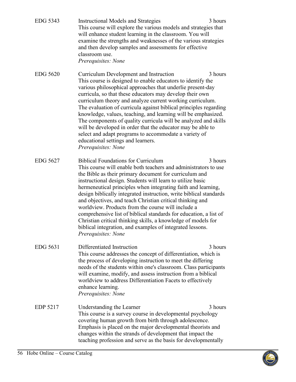<span id="page-55-4"></span><span id="page-55-3"></span><span id="page-55-2"></span><span id="page-55-1"></span><span id="page-55-0"></span>

| EDG 5343        | 3 hours<br><b>Instructional Models and Strategies</b><br>This course will explore the various models and strategies that<br>will enhance student learning in the classroom. You will<br>examine the strengths and weaknesses of the various strategies<br>and then develop samples and assessments for effective<br>classroom use.<br>Prerequisites: None                                                                                                                                                                                                                                                                                                                                                                            |
|-----------------|--------------------------------------------------------------------------------------------------------------------------------------------------------------------------------------------------------------------------------------------------------------------------------------------------------------------------------------------------------------------------------------------------------------------------------------------------------------------------------------------------------------------------------------------------------------------------------------------------------------------------------------------------------------------------------------------------------------------------------------|
| <b>EDG 5620</b> | 3 hours<br>Curriculum Development and Instruction<br>This course is designed to enable educators to identify the<br>various philosophical approaches that underlie present-day<br>curricula, so that these educators may develop their own<br>curriculum theory and analyze current working curriculum.<br>The evaluation of curricula against biblical principles regarding<br>knowledge, values, teaching, and learning will be emphasized.<br>The components of quality curricula will be analyzed and skills<br>will be developed in order that the educator may be able to<br>select and adapt programs to accommodate a variety of<br>educational settings and learners.<br>Prerequisites: None                                |
| EDG 5627        | <b>Biblical Foundations for Curriculum</b><br>3 hours<br>This course will enable both teachers and administrators to use<br>the Bible as their primary document for curriculum and<br>instructional design. Students will learn to utilize basic<br>hermeneutical principles when integrating faith and learning,<br>design biblically integrated instruction, write biblical standards<br>and objectives, and teach Christian critical thinking and<br>worldview. Products from the course will include a<br>comprehensive list of biblical standards for education, a list of<br>Christian critical thinking skills, a knowledge of models for<br>biblical integration, and examples of integrated lessons.<br>Prerequisites: None |
| EDG 5631        | Differentiated Instruction<br>3 hours<br>This course addresses the concept of differentiation, which is<br>the process of developing instruction to meet the differing<br>needs of the students within one's classroom. Class participants<br>will examine, modify, and assess instruction from a biblical<br>worldview to address Differentiation Facets to effectively<br>enhance learning.<br>Prerequisites: None                                                                                                                                                                                                                                                                                                                 |
| <b>EDP 5217</b> | Understanding the Learner<br>3 hours<br>This course is a survey course in developmental psychology<br>covering human growth from birth through adolescence.<br>Emphasis is placed on the major developmental theorists and<br>changes within the strands of development that impact the<br>teaching profession and serve as the basis for developmentally                                                                                                                                                                                                                                                                                                                                                                            |